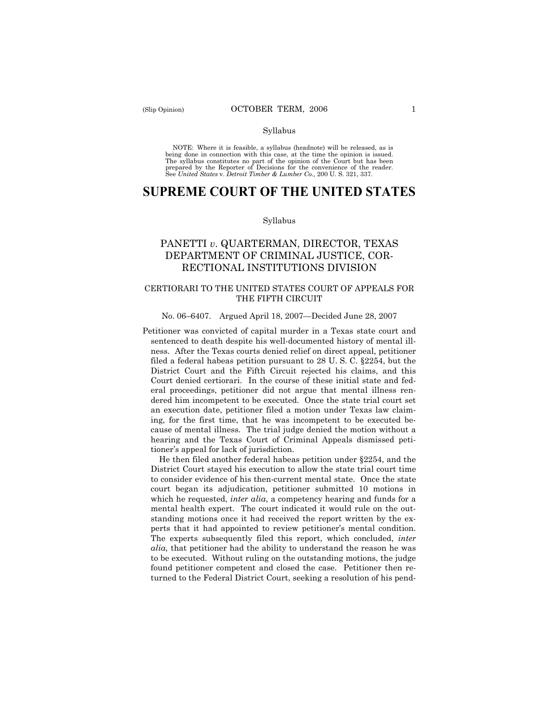NOTE: Where it is feasible, a syllabus (headnote) will be released, as is being done in connection with this case, at the time the opinion is issued. The syllabus constitutes no part of the opinion of the Court but has been<br>prepared by the Reporter of Decisions for the convenience of the reader.<br>See United States v. Detroit Timber & Lumber Co., 200 U. S. 321, 337.

# **SUPREME COURT OF THE UNITED STATES**

#### Syllabus

# PANETTI *v*. QUARTERMAN, DIRECTOR, TEXAS DEPARTMENT OF CRIMINAL JUSTICE, COR-RECTIONAL INSTITUTIONS DIVISION

## CERTIORARI TO THE UNITED STATES COURT OF APPEALS FOR THE FIFTH CIRCUIT

#### No. 06–6407. Argued April 18, 2007—Decided June 28, 2007

Petitioner was convicted of capital murder in a Texas state court and sentenced to death despite his well-documented history of mental illness. After the Texas courts denied relief on direct appeal, petitioner filed a federal habeas petition pursuant to 28 U. S. C. §2254, but the District Court and the Fifth Circuit rejected his claims, and this Court denied certiorari. In the course of these initial state and federal proceedings, petitioner did not argue that mental illness rendered him incompetent to be executed. Once the state trial court set an execution date, petitioner filed a motion under Texas law claiming, for the first time, that he was incompetent to be executed because of mental illness. The trial judge denied the motion without a hearing and the Texas Court of Criminal Appeals dismissed petitioner's appeal for lack of jurisdiction.

He then filed another federal habeas petition under §2254, and the District Court stayed his execution to allow the state trial court time to consider evidence of his then-current mental state. Once the state court began its adjudication, petitioner submitted 10 motions in which he requested, *inter alia*, a competency hearing and funds for a mental health expert. The court indicated it would rule on the outstanding motions once it had received the report written by the experts that it had appointed to review petitioner's mental condition. The experts subsequently filed this report, which concluded, *inter alia,* that petitioner had the ability to understand the reason he was to be executed. Without ruling on the outstanding motions, the judge found petitioner competent and closed the case. Petitioner then returned to the Federal District Court, seeking a resolution of his pend-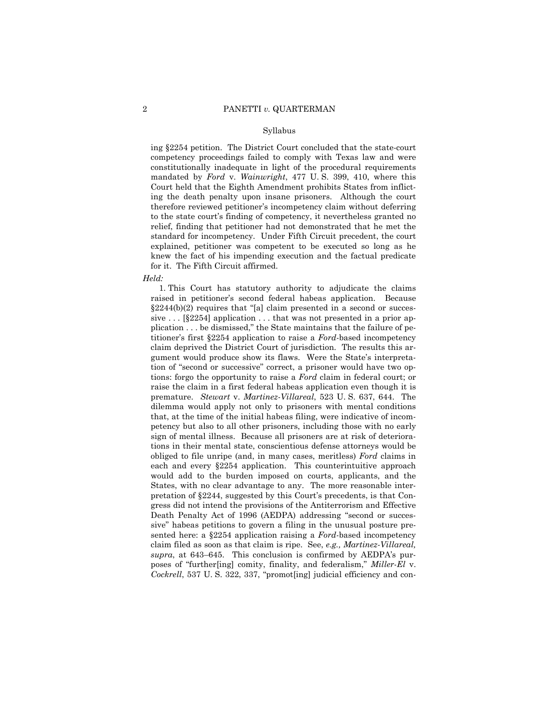ing §2254 petition. The District Court concluded that the state-court competency proceedings failed to comply with Texas law and were constitutionally inadequate in light of the procedural requirements mandated by *Ford* v. *Wainwright*, 477 U. S. 399, 410, where this Court held that the Eighth Amendment prohibits States from inflicting the death penalty upon insane prisoners. Although the court therefore reviewed petitioner's incompetency claim without deferring to the state court's finding of competency, it nevertheless granted no relief, finding that petitioner had not demonstrated that he met the standard for incompetency. Under Fifth Circuit precedent, the court explained, petitioner was competent to be executed so long as he knew the fact of his impending execution and the factual predicate for it. The Fifth Circuit affirmed.

*Held:* 

1. This Court has statutory authority to adjudicate the claims raised in petitioner's second federal habeas application. Because  $\S2244(b)(2)$  requires that "[a] claim presented in a second or successive  $\ldots$  [§2254] application  $\ldots$  that was not presented in a prior application . . . be dismissed," the State maintains that the failure of petitioner's first §2254 application to raise a *Ford*-based incompetency claim deprived the District Court of jurisdiction. The results this argument would produce show its flaws. Were the State's interpretation of "second or successive" correct, a prisoner would have two options: forgo the opportunity to raise a *Ford* claim in federal court; or raise the claim in a first federal habeas application even though it is premature. *Stewart* v. *Martinez-Villareal*, 523 U. S. 637, 644. The dilemma would apply not only to prisoners with mental conditions that, at the time of the initial habeas filing, were indicative of incompetency but also to all other prisoners, including those with no early sign of mental illness. Because all prisoners are at risk of deteriorations in their mental state, conscientious defense attorneys would be obliged to file unripe (and, in many cases, meritless) *Ford* claims in each and every §2254 application. This counterintuitive approach would add to the burden imposed on courts, applicants, and the States, with no clear advantage to any. The more reasonable interpretation of §2244, suggested by this Court's precedents, is that Congress did not intend the provisions of the Antiterrorism and Effective Death Penalty Act of 1996 (AEDPA) addressing "second or successive" habeas petitions to govern a filing in the unusual posture presented here: a §2254 application raising a *Ford*-based incompetency claim filed as soon as that claim is ripe. See, *e.g., Martinez-Villareal, supra*, at 643–645. This conclusion is confirmed by AEDPA's purposes of "further[ing] comity, finality, and federalism," *Miller-El* v. *Cockrell*, 537 U. S. 322, 337, "promot[ing] judicial efficiency and con-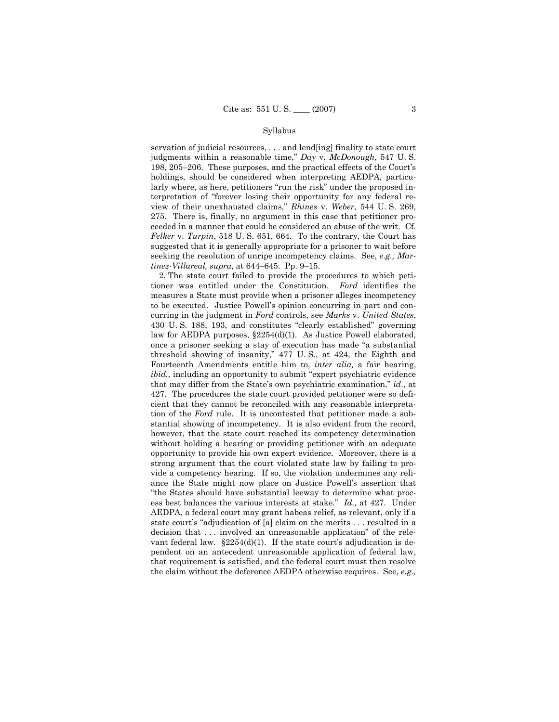servation of judicial resources, . . . and lend[ing] finality to state court judgments within a reasonable time," *Day* v. *McDonough*, 547 U. S. 198, 205–206. These purposes, and the practical effects of the Court's holdings, should be considered when interpreting AEDPA, particularly where, as here, petitioners "run the risk" under the proposed interpretation of "forever losing their opportunity for any federal review of their unexhausted claims," *Rhines* v. *Weber*, 544 U. S. 269, 275. There is, finally, no argument in this case that petitioner proceeded in a manner that could be considered an abuse of the writ. Cf. *Felker* v. *Turpin*, 518 U. S. 651, 664. To the contrary, the Court has suggested that it is generally appropriate for a prisoner to wait before seeking the resolution of unripe incompetency claims. See, *e.g., Martinez-Villareal, supra*, at 644–645. Pp. 9–15.

2. The state court failed to provide the procedures to which petitioner was entitled under the Constitution. *Ford* identifies the measures a State must provide when a prisoner alleges incompetency to be executed. Justice Powell's opinion concurring in part and concurring in the judgment in *Ford* controls, see *Marks* v. *United States*, 430 U. S. 188, 193, and constitutes "clearly established" governing law for AEDPA purposes, §2254(d)(1). As Justice Powell elaborated, once a prisoner seeking a stay of execution has made "a substantial threshold showing of insanity," 477 U. S., at 424, the Eighth and Fourteenth Amendments entitle him to, *inter alia,* a fair hearing, *ibid.,* including an opportunity to submit "expert psychiatric evidence that may differ from the State's own psychiatric examination," *id*., at 427. The procedures the state court provided petitioner were so deficient that they cannot be reconciled with any reasonable interpretation of the *Ford* rule. It is uncontested that petitioner made a substantial showing of incompetency. It is also evident from the record, however, that the state court reached its competency determination without holding a hearing or providing petitioner with an adequate opportunity to provide his own expert evidence. Moreover, there is a strong argument that the court violated state law by failing to provide a competency hearing. If so, the violation undermines any reliance the State might now place on Justice Powell's assertion that "the States should have substantial leeway to determine what process best balances the various interests at stake." *Id.,* at 427. Under AEDPA, a federal court may grant habeas relief, as relevant, only if a state court's "adjudication of [a] claim on the merits . . . resulted in a decision that . . . involved an unreasonable application" of the relevant federal law. §2254(d)(1). If the state court's adjudication is dependent on an antecedent unreasonable application of federal law, that requirement is satisfied, and the federal court must then resolve the claim without the deference AEDPA otherwise requires. See, *e.g.,*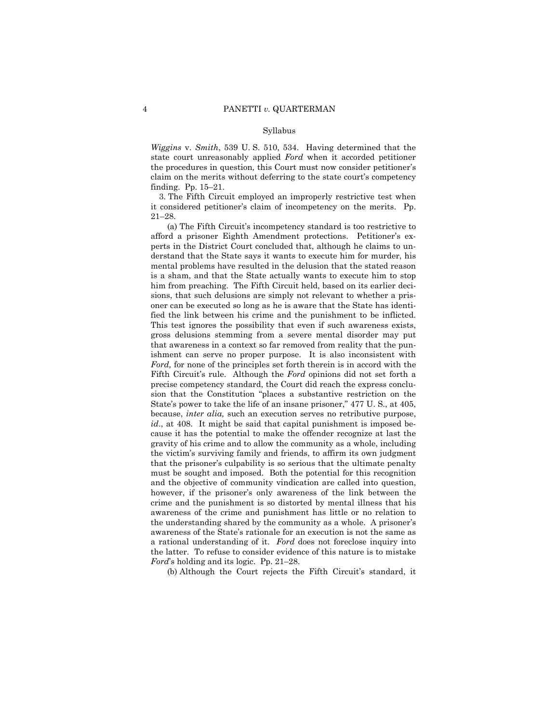*Wiggins* v. *Smith*, 539 U. S. 510, 534. Having determined that the state court unreasonably applied *Ford* when it accorded petitioner the procedures in question*,* this Court must now consider petitioner's claim on the merits without deferring to the state court's competency finding. Pp. 15–21.

3. The Fifth Circuit employed an improperly restrictive test when it considered petitioner's claim of incompetency on the merits. Pp. 21–28.

(a) The Fifth Circuit's incompetency standard is too restrictive to afford a prisoner Eighth Amendment protections. Petitioner's experts in the District Court concluded that, although he claims to understand that the State says it wants to execute him for murder, his mental problems have resulted in the delusion that the stated reason is a sham, and that the State actually wants to execute him to stop him from preaching. The Fifth Circuit held, based on its earlier decisions, that such delusions are simply not relevant to whether a prisoner can be executed so long as he is aware that the State has identified the link between his crime and the punishment to be inflicted. This test ignores the possibility that even if such awareness exists, gross delusions stemming from a severe mental disorder may put that awareness in a context so far removed from reality that the punishment can serve no proper purpose. It is also inconsistent with *Ford,* for none of the principles set forth therein is in accord with the Fifth Circuit's rule. Although the *Ford* opinions did not set forth a precise competency standard, the Court did reach the express conclusion that the Constitution "places a substantive restriction on the State's power to take the life of an insane prisoner," 477 U. S., at 405, because, *inter alia,* such an execution serves no retributive purpose, *id.*, at 408. It might be said that capital punishment is imposed because it has the potential to make the offender recognize at last the gravity of his crime and to allow the community as a whole, including the victim's surviving family and friends, to affirm its own judgment that the prisoner's culpability is so serious that the ultimate penalty must be sought and imposed. Both the potential for this recognition and the objective of community vindication are called into question, however, if the prisoner's only awareness of the link between the crime and the punishment is so distorted by mental illness that his awareness of the crime and punishment has little or no relation to the understanding shared by the community as a whole. A prisoner's awareness of the State's rationale for an execution is not the same as a rational understanding of it. *Ford* does not foreclose inquiry into the latter. To refuse to consider evidence of this nature is to mistake *Ford*'s holding and its logic. Pp. 21–28.

(b) Although the Court rejects the Fifth Circuit's standard, it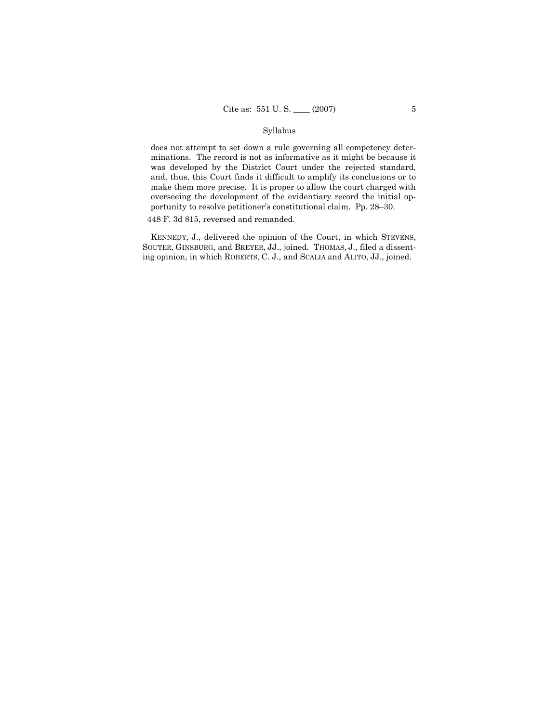does not attempt to set down a rule governing all competency determinations. The record is not as informative as it might be because it was developed by the District Court under the rejected standard, and, thus, this Court finds it difficult to amplify its conclusions or to make them more precise. It is proper to allow the court charged with overseeing the development of the evidentiary record the initial opportunity to resolve petitioner's constitutional claim. Pp. 28–30.

448 F. 3d 815, reversed and remanded.

KENNEDY, J., delivered the opinion of the Court, in which STEVENS, SOUTER, GINSBURG, and BREYER, JJ., joined. THOMAS, J., filed a dissenting opinion, in which ROBERTS, C. J., and SCALIA and ALITO, JJ., joined.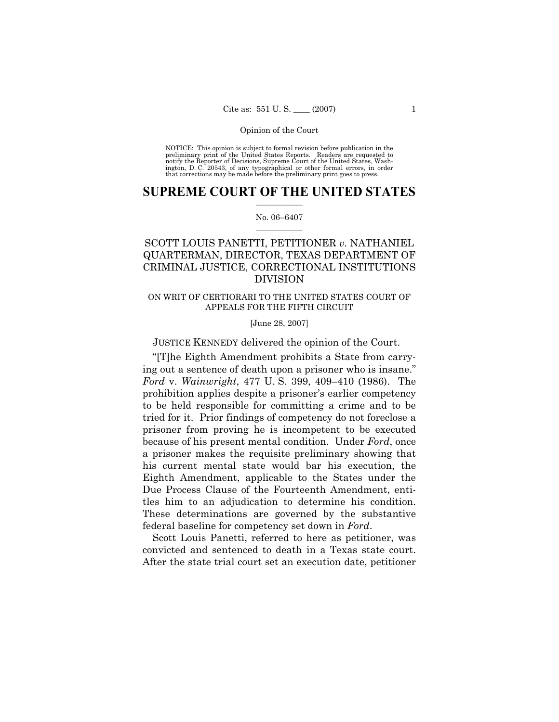NOTICE: This opinion is subject to formal revision before publication in the preliminary print of the United States Reports. Readers are requested to notify the Reporter of Decisions, Supreme Court of the United States, Washington, D. C. 20543, of any typographical or other formal errors, in order that corrections may be made before the preliminary print goes to press.

# $\frac{1}{2}$  ,  $\frac{1}{2}$  ,  $\frac{1}{2}$  ,  $\frac{1}{2}$  ,  $\frac{1}{2}$  ,  $\frac{1}{2}$  ,  $\frac{1}{2}$ **SUPREME COURT OF THE UNITED STATES**

#### $\mathcal{L}=\mathcal{L}$ No. 06–6407

# SCOTT LOUIS PANETTI, PETITIONER *v.* NATHANIEL QUARTERMAN, DIRECTOR, TEXAS DEPARTMENT OF CRIMINAL JUSTICE, CORRECTIONAL INSTITUTIONS DIVISION

# ON WRIT OF CERTIORARI TO THE UNITED STATES COURT OF APPEALS FOR THE FIFTH CIRCUIT

### [June 28, 2007]

JUSTICE KENNEDY delivered the opinion of the Court.

"[T]he Eighth Amendment prohibits a State from carrying out a sentence of death upon a prisoner who is insane." *Ford* v. *Wainwright*, 477 U. S. 399, 409–410 (1986). The prohibition applies despite a prisoner's earlier competency to be held responsible for committing a crime and to be tried for it. Prior findings of competency do not foreclose a prisoner from proving he is incompetent to be executed because of his present mental condition. Under *Ford*, once a prisoner makes the requisite preliminary showing that his current mental state would bar his execution, the Eighth Amendment, applicable to the States under the Due Process Clause of the Fourteenth Amendment, entitles him to an adjudication to determine his condition. These determinations are governed by the substantive federal baseline for competency set down in *Ford*.

Scott Louis Panetti, referred to here as petitioner, was convicted and sentenced to death in a Texas state court. After the state trial court set an execution date, petitioner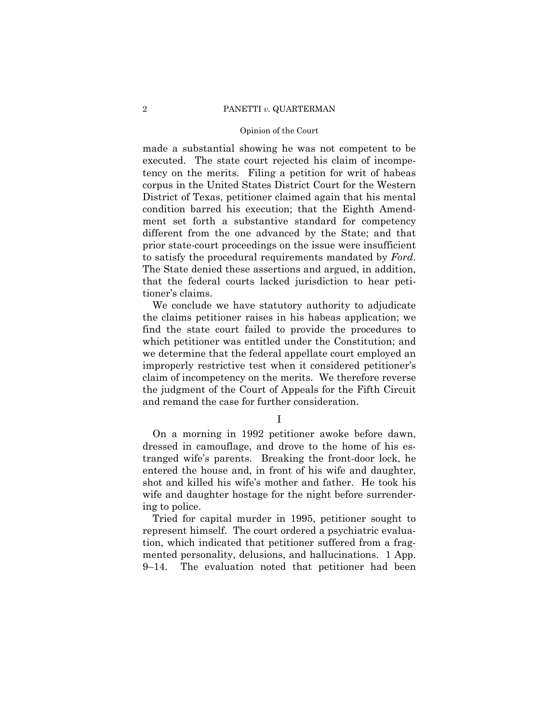#### 2 PANETTI *v.* QUARTERMAN

#### Opinion of the Court

made a substantial showing he was not competent to be executed. The state court rejected his claim of incompetency on the merits. Filing a petition for writ of habeas corpus in the United States District Court for the Western District of Texas, petitioner claimed again that his mental condition barred his execution; that the Eighth Amendment set forth a substantive standard for competency different from the one advanced by the State; and that prior state-court proceedings on the issue were insufficient to satisfy the procedural requirements mandated by *Ford*. The State denied these assertions and argued, in addition, that the federal courts lacked jurisdiction to hear petitioner's claims.

We conclude we have statutory authority to adjudicate the claims petitioner raises in his habeas application; we find the state court failed to provide the procedures to which petitioner was entitled under the Constitution; and we determine that the federal appellate court employed an improperly restrictive test when it considered petitioner's claim of incompetency on the merits. We therefore reverse the judgment of the Court of Appeals for the Fifth Circuit and remand the case for further consideration.

I

On a morning in 1992 petitioner awoke before dawn, dressed in camouflage, and drove to the home of his estranged wife's parents. Breaking the front-door lock, he entered the house and, in front of his wife and daughter, shot and killed his wife's mother and father. He took his wife and daughter hostage for the night before surrendering to police.

Tried for capital murder in 1995, petitioner sought to represent himself. The court ordered a psychiatric evaluation, which indicated that petitioner suffered from a fragmented personality, delusions, and hallucinations. 1 App. 9–14. The evaluation noted that petitioner had been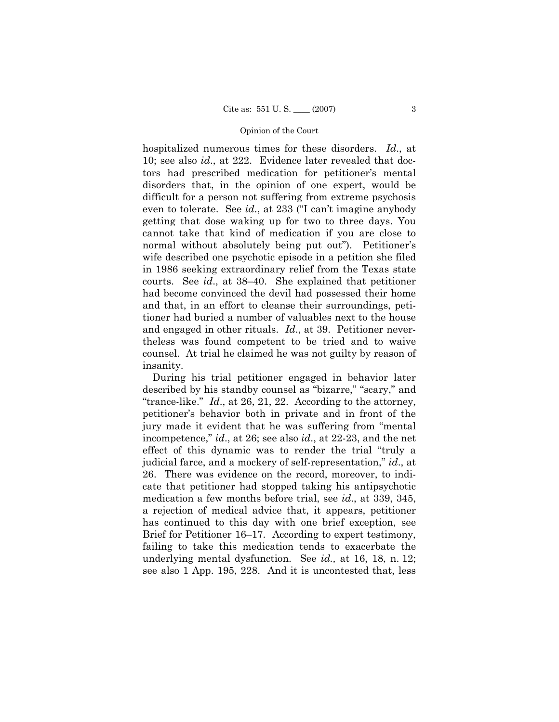hospitalized numerous times for these disorders. *Id*., at 10; see also *id*., at 222. Evidence later revealed that doctors had prescribed medication for petitioner's mental disorders that, in the opinion of one expert, would be difficult for a person not suffering from extreme psychosis even to tolerate. See *id*., at 233 ("I can't imagine anybody getting that dose waking up for two to three days. You cannot take that kind of medication if you are close to normal without absolutely being put out"). Petitioner's wife described one psychotic episode in a petition she filed in 1986 seeking extraordinary relief from the Texas state courts. See *id*., at 38–40. She explained that petitioner had become convinced the devil had possessed their home and that, in an effort to cleanse their surroundings, petitioner had buried a number of valuables next to the house and engaged in other rituals. *Id*., at 39. Petitioner nevertheless was found competent to be tried and to waive counsel. At trial he claimed he was not guilty by reason of insanity.

During his trial petitioner engaged in behavior later described by his standby counsel as "bizarre," "scary," and "trance-like." *Id*., at 26, 21, 22. According to the attorney, petitioner's behavior both in private and in front of the jury made it evident that he was suffering from "mental incompetence," *id*., at 26; see also *id*., at 22-23, and the net effect of this dynamic was to render the trial "truly a judicial farce, and a mockery of self-representation," *id*., at 26. There was evidence on the record, moreover, to indicate that petitioner had stopped taking his antipsychotic medication a few months before trial, see *id*., at 339, 345, a rejection of medical advice that, it appears, petitioner has continued to this day with one brief exception, see Brief for Petitioner 16–17. According to expert testimony, failing to take this medication tends to exacerbate the underlying mental dysfunction. See *id.,* at 16, 18, n. 12; see also 1 App. 195, 228. And it is uncontested that, less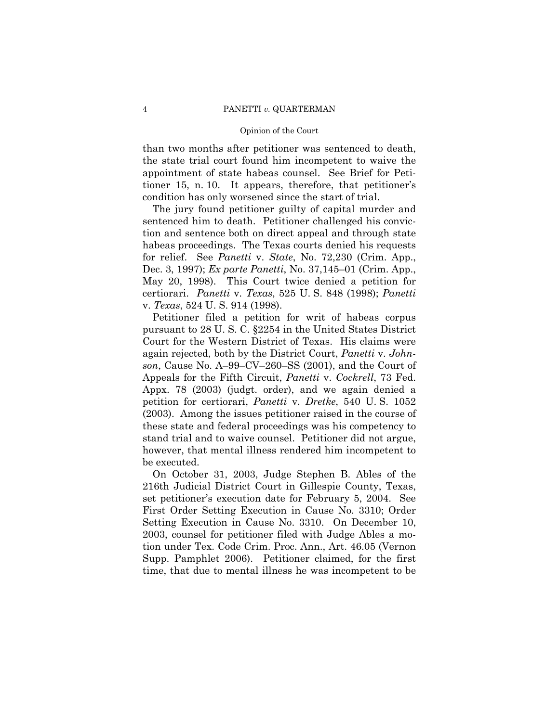than two months after petitioner was sentenced to death, the state trial court found him incompetent to waive the appointment of state habeas counsel. See Brief for Petitioner 15, n. 10. It appears, therefore, that petitioner's condition has only worsened since the start of trial.

The jury found petitioner guilty of capital murder and sentenced him to death. Petitioner challenged his conviction and sentence both on direct appeal and through state habeas proceedings. The Texas courts denied his requests for relief. See *Panetti* v. *State*, No. 72,230 (Crim. App., Dec. 3, 1997); *Ex parte Panetti*, No. 37,145–01 (Crim. App., May 20, 1998). This Court twice denied a petition for certiorari. *Panetti* v. *Texas*, 525 U. S. 848 (1998); *Panetti*  v. *Texas*, 524 U. S. 914 (1998).

Petitioner filed a petition for writ of habeas corpus pursuant to 28 U. S. C. §2254 in the United States District Court for the Western District of Texas. His claims were again rejected, both by the District Court, *Panetti* v. *Johnson*, Cause No. A–99–CV–260–SS (2001), and the Court of Appeals for the Fifth Circuit, *Panetti* v. *Cockrell*, 73 Fed. Appx. 78 (2003) (judgt. order), and we again denied a petition for certiorari, *Panetti* v. *Dretke*, 540 U. S. 1052 (2003). Among the issues petitioner raised in the course of these state and federal proceedings was his competency to stand trial and to waive counsel. Petitioner did not argue, however, that mental illness rendered him incompetent to be executed.

On October 31, 2003, Judge Stephen B. Ables of the 216th Judicial District Court in Gillespie County, Texas, set petitioner's execution date for February 5, 2004. See First Order Setting Execution in Cause No. 3310; Order Setting Execution in Cause No. 3310. On December 10, 2003, counsel for petitioner filed with Judge Ables a motion under Tex. Code Crim. Proc. Ann., Art. 46.05 (Vernon Supp. Pamphlet 2006). Petitioner claimed, for the first time, that due to mental illness he was incompetent to be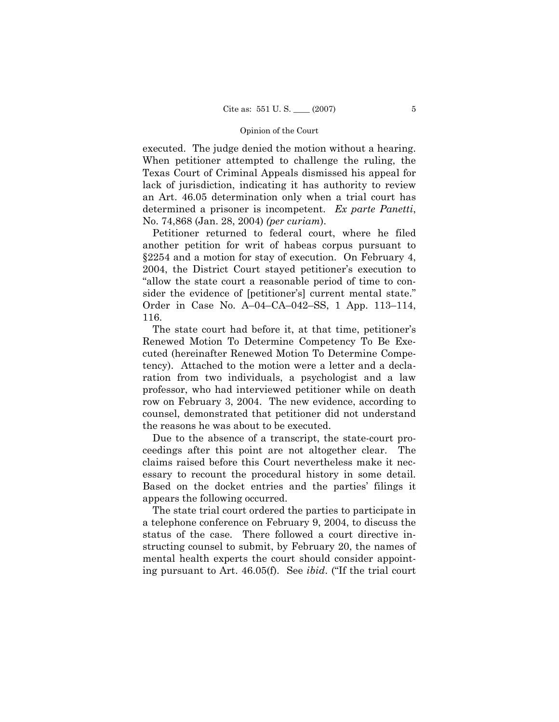executed. The judge denied the motion without a hearing. When petitioner attempted to challenge the ruling, the Texas Court of Criminal Appeals dismissed his appeal for lack of jurisdiction, indicating it has authority to review an Art. 46.05 determination only when a trial court has determined a prisoner is incompetent. *Ex parte Panetti*, No. 74,868 (Jan. 28, 2004) *(per curiam*).

Petitioner returned to federal court, where he filed another petition for writ of habeas corpus pursuant to §2254 and a motion for stay of execution. On February 4, 2004, the District Court stayed petitioner's execution to "allow the state court a reasonable period of time to consider the evidence of [petitioner's] current mental state." Order in Case No. A–04–CA–042–SS, 1 App. 113–114, 116.

The state court had before it, at that time, petitioner's Renewed Motion To Determine Competency To Be Executed (hereinafter Renewed Motion To Determine Competency). Attached to the motion were a letter and a declaration from two individuals, a psychologist and a law professor, who had interviewed petitioner while on death row on February 3, 2004. The new evidence, according to counsel, demonstrated that petitioner did not understand the reasons he was about to be executed.

Due to the absence of a transcript, the state-court proceedings after this point are not altogether clear. The claims raised before this Court nevertheless make it necessary to recount the procedural history in some detail. Based on the docket entries and the parties' filings it appears the following occurred.

The state trial court ordered the parties to participate in a telephone conference on February 9, 2004, to discuss the status of the case. There followed a court directive instructing counsel to submit, by February 20, the names of mental health experts the court should consider appointing pursuant to Art. 46.05(f). See *ibid*. ("If the trial court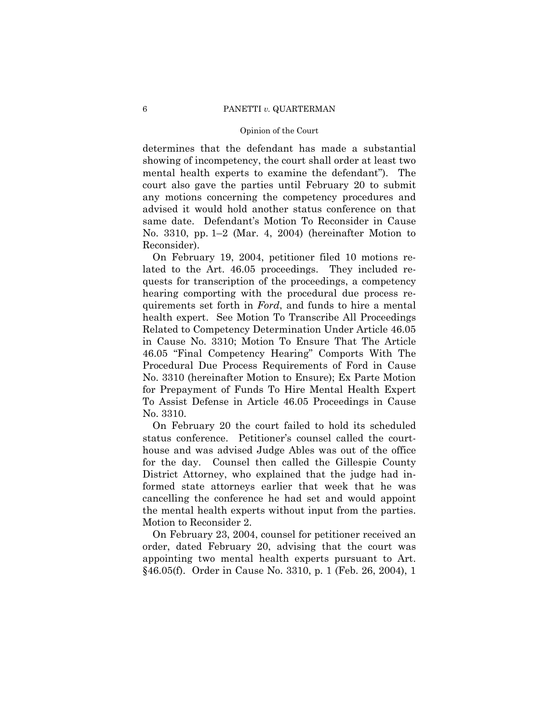determines that the defendant has made a substantial showing of incompetency, the court shall order at least two mental health experts to examine the defendant"). The court also gave the parties until February 20 to submit any motions concerning the competency procedures and advised it would hold another status conference on that same date. Defendant's Motion To Reconsider in Cause No. 3310, pp. 1–2 (Mar. 4, 2004) (hereinafter Motion to Reconsider).

On February 19, 2004, petitioner filed 10 motions related to the Art. 46.05 proceedings. They included requests for transcription of the proceedings, a competency hearing comporting with the procedural due process requirements set forth in *Ford*, and funds to hire a mental health expert. See Motion To Transcribe All Proceedings Related to Competency Determination Under Article 46.05 in Cause No. 3310; Motion To Ensure That The Article 46.05 "Final Competency Hearing" Comports With The Procedural Due Process Requirements of Ford in Cause No. 3310 (hereinafter Motion to Ensure); Ex Parte Motion for Prepayment of Funds To Hire Mental Health Expert To Assist Defense in Article 46.05 Proceedings in Cause No. 3310.

On February 20 the court failed to hold its scheduled status conference. Petitioner's counsel called the courthouse and was advised Judge Ables was out of the office for the day. Counsel then called the Gillespie County District Attorney, who explained that the judge had informed state attorneys earlier that week that he was cancelling the conference he had set and would appoint the mental health experts without input from the parties. Motion to Reconsider 2.

On February 23, 2004, counsel for petitioner received an order, dated February 20, advising that the court was appointing two mental health experts pursuant to Art. §46.05(f). Order in Cause No. 3310, p. 1 (Feb. 26, 2004), 1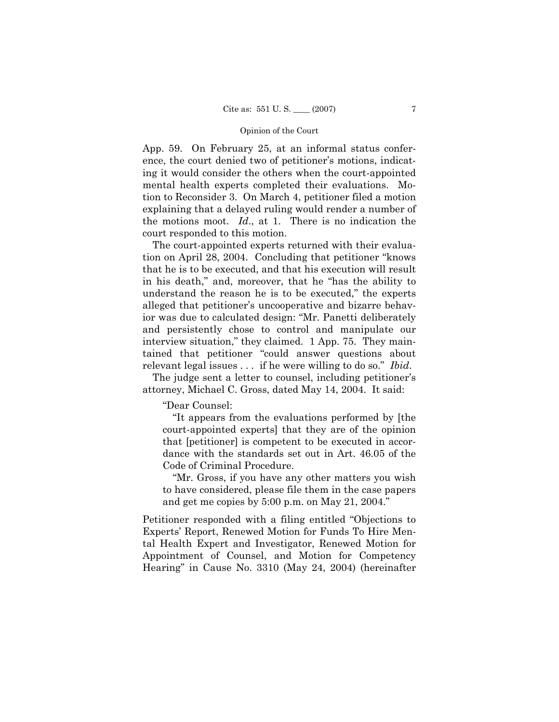App. 59. On February 25, at an informal status conference, the court denied two of petitioner's motions, indicating it would consider the others when the court-appointed mental health experts completed their evaluations. Motion to Reconsider 3. On March 4, petitioner filed a motion explaining that a delayed ruling would render a number of the motions moot. *Id*., at 1. There is no indication the court responded to this motion.

The court-appointed experts returned with their evaluation on April 28, 2004. Concluding that petitioner "knows that he is to be executed, and that his execution will result in his death," and, moreover, that he "has the ability to understand the reason he is to be executed," the experts alleged that petitioner's uncooperative and bizarre behavior was due to calculated design: "Mr. Panetti deliberately and persistently chose to control and manipulate our interview situation," they claimed. 1 App. 75. They maintained that petitioner "could answer questions about relevant legal issues . . . if he were willing to do so." *Ibid*.

The judge sent a letter to counsel, including petitioner's attorney, Michael C. Gross, dated May 14, 2004. It said:

"Dear Counsel:

"It appears from the evaluations performed by [the court-appointed experts] that they are of the opinion that [petitioner] is competent to be executed in accordance with the standards set out in Art. 46.05 of the Code of Criminal Procedure.

"Mr. Gross, if you have any other matters you wish to have considered, please file them in the case papers and get me copies by 5:00 p.m. on May 21, 2004."

Petitioner responded with a filing entitled "Objections to Experts' Report, Renewed Motion for Funds To Hire Mental Health Expert and Investigator, Renewed Motion for Appointment of Counsel, and Motion for Competency Hearing" in Cause No. 3310 (May 24, 2004) (hereinafter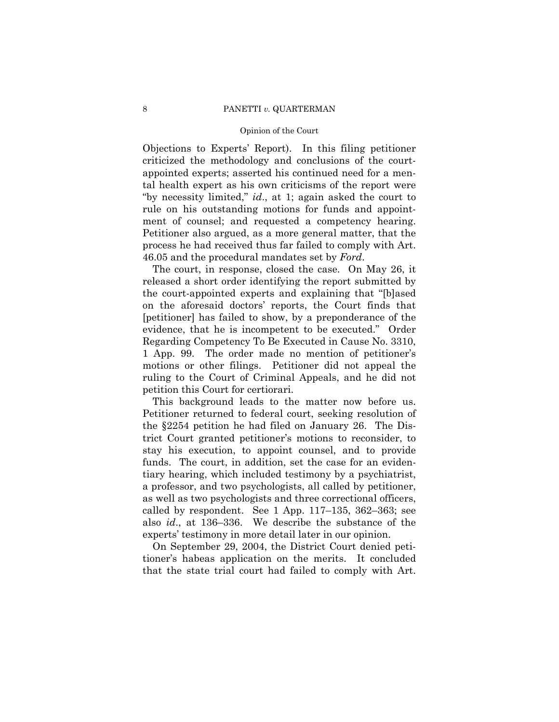Objections to Experts' Report). In this filing petitioner criticized the methodology and conclusions of the courtappointed experts; asserted his continued need for a mental health expert as his own criticisms of the report were "by necessity limited," *id*., at 1; again asked the court to rule on his outstanding motions for funds and appointment of counsel; and requested a competency hearing. Petitioner also argued, as a more general matter, that the process he had received thus far failed to comply with Art. 46.05 and the procedural mandates set by *Ford*.

The court, in response, closed the case. On May 26, it released a short order identifying the report submitted by the court-appointed experts and explaining that "[b]ased on the aforesaid doctors' reports, the Court finds that [petitioner] has failed to show, by a preponderance of the evidence, that he is incompetent to be executed." Order Regarding Competency To Be Executed in Cause No. 3310, 1 App. 99. The order made no mention of petitioner's motions or other filings. Petitioner did not appeal the ruling to the Court of Criminal Appeals, and he did not petition this Court for certiorari.

This background leads to the matter now before us. Petitioner returned to federal court, seeking resolution of the §2254 petition he had filed on January 26. The District Court granted petitioner's motions to reconsider, to stay his execution, to appoint counsel, and to provide funds. The court, in addition, set the case for an evidentiary hearing, which included testimony by a psychiatrist, a professor, and two psychologists, all called by petitioner, as well as two psychologists and three correctional officers, called by respondent. See 1 App. 117–135, 362–363; see also *id*., at 136–336. We describe the substance of the experts' testimony in more detail later in our opinion.

On September 29, 2004, the District Court denied petitioner's habeas application on the merits. It concluded that the state trial court had failed to comply with Art.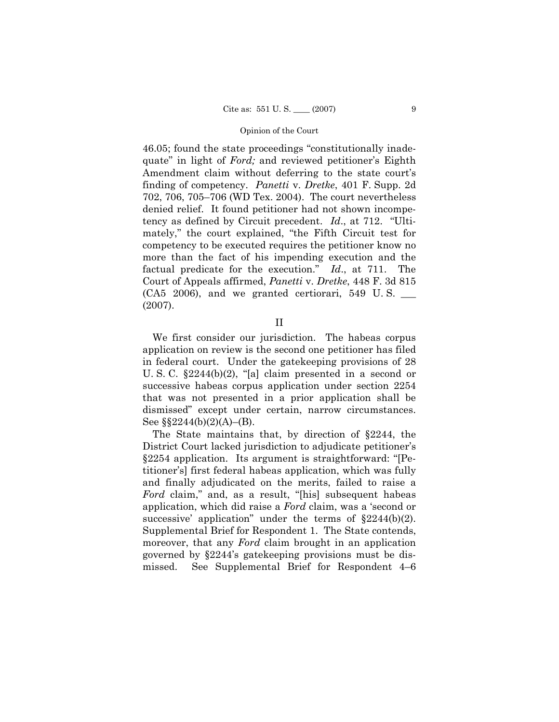46.05; found the state proceedings "constitutionally inadequate" in light of *Ford;* and reviewed petitioner's Eighth Amendment claim without deferring to the state court's finding of competency. *Panetti* v. *Dretke*, 401 F. Supp. 2d 702, 706, 705–706 (WD Tex. 2004). The court nevertheless denied relief. It found petitioner had not shown incompetency as defined by Circuit precedent. *Id*., at 712. "Ultimately," the court explained, "the Fifth Circuit test for competency to be executed requires the petitioner know no more than the fact of his impending execution and the factual predicate for the execution." *Id*., at 711. The Court of Appeals affirmed, *Panetti* v. *Dretke*, 448 F. 3d 815  $(CA5 \ 2006)$ , and we granted certiorari, 549 U.S. (2007).

II

We first consider our jurisdiction. The habeas corpus application on review is the second one petitioner has filed in federal court. Under the gatekeeping provisions of 28 U. S. C. §2244(b)(2), "[a] claim presented in a second or successive habeas corpus application under section 2254 that was not presented in a prior application shall be dismissed" except under certain, narrow circumstances. See §§2244(b)(2)(A)–(B).

The State maintains that, by direction of §2244, the District Court lacked jurisdiction to adjudicate petitioner's §2254 application. Its argument is straightforward: "[Petitioner's] first federal habeas application, which was fully and finally adjudicated on the merits, failed to raise a *Ford* claim," and, as a result, "[his] subsequent habeas application, which did raise a *Ford* claim, was a 'second or successive' application" under the terms of  $\S 2244(b)(2)$ . Supplemental Brief for Respondent 1. The State contends, moreover, that any *Ford* claim brought in an application governed by §2244's gatekeeping provisions must be dismissed. See Supplemental Brief for Respondent 4–6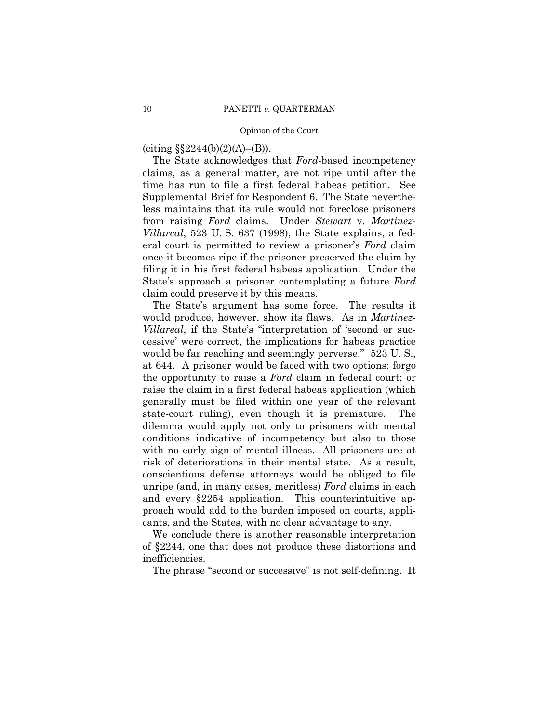$(citing \S_{2244(b)(2)(A) - (B)).$ 

The State acknowledges that *Ford*-based incompetency claims, as a general matter, are not ripe until after the time has run to file a first federal habeas petition. See Supplemental Brief for Respondent 6. The State nevertheless maintains that its rule would not foreclose prisoners from raising *Ford* claims. Under *Stewart* v. *Martinez-Villareal*, 523 U. S. 637 (1998), the State explains, a federal court is permitted to review a prisoner's *Ford* claim once it becomes ripe if the prisoner preserved the claim by filing it in his first federal habeas application. Under the State's approach a prisoner contemplating a future *Ford*  claim could preserve it by this means.

The State's argument has some force. The results it would produce, however, show its flaws. As in *Martinez-Villareal*, if the State's "interpretation of 'second or successive' were correct, the implications for habeas practice would be far reaching and seemingly perverse." 523 U.S., at 644. A prisoner would be faced with two options: forgo the opportunity to raise a *Ford* claim in federal court; or raise the claim in a first federal habeas application (which generally must be filed within one year of the relevant state-court ruling), even though it is premature. The dilemma would apply not only to prisoners with mental conditions indicative of incompetency but also to those with no early sign of mental illness. All prisoners are at risk of deteriorations in their mental state. As a result, conscientious defense attorneys would be obliged to file unripe (and, in many cases, meritless) *Ford* claims in each and every §2254 application. This counterintuitive approach would add to the burden imposed on courts, applicants, and the States, with no clear advantage to any.

We conclude there is another reasonable interpretation of §2244, one that does not produce these distortions and inefficiencies.

The phrase "second or successive" is not self-defining. It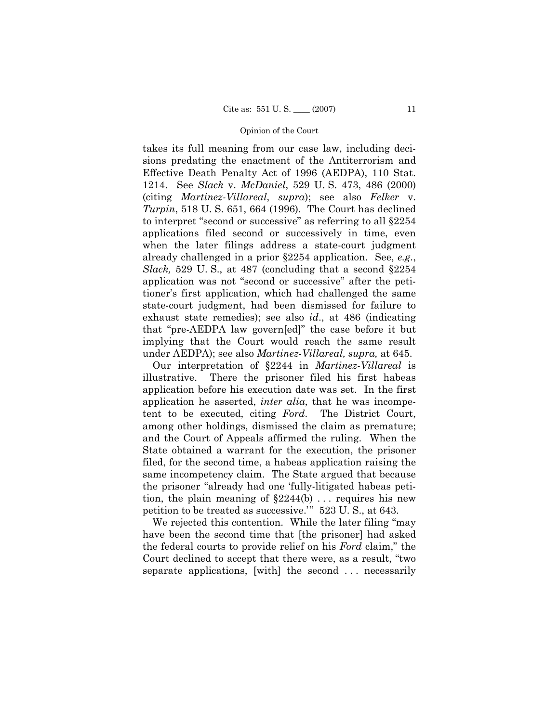takes its full meaning from our case law, including decisions predating the enactment of the Antiterrorism and Effective Death Penalty Act of 1996 (AEDPA), 110 Stat. 1214. See *Slack* v. *McDaniel*, 529 U. S. 473, 486 (2000) (citing *Martinez-Villareal*, *supra*); see also *Felker* v. *Turpin*, 518 U. S. 651, 664 (1996). The Court has declined to interpret "second or successive" as referring to all §2254 applications filed second or successively in time, even when the later filings address a state-court judgment already challenged in a prior §2254 application. See, *e.g*., *Slack,* 529 U. S., at 487 (concluding that a second §2254 application was not "second or successive" after the petitioner's first application, which had challenged the same state-court judgment, had been dismissed for failure to exhaust state remedies); see also *id*., at 486 (indicating that "pre-AEDPA law govern[ed]" the case before it but implying that the Court would reach the same result under AEDPA); see also *Martinez-Villareal, supra,* at 645.

Our interpretation of §2244 in *Martinez-Villareal* is illustrative. There the prisoner filed his first habeas application before his execution date was set. In the first application he asserted, *inter alia*, that he was incompetent to be executed, citing *Ford*. The District Court, among other holdings, dismissed the claim as premature; and the Court of Appeals affirmed the ruling. When the State obtained a warrant for the execution, the prisoner filed, for the second time, a habeas application raising the same incompetency claim. The State argued that because the prisoner "already had one 'fully-litigated habeas petition, the plain meaning of  $\S2244(b)$ ... requires his new petition to be treated as successive.'" 523 U. S., at 643.

We rejected this contention. While the later filing "may have been the second time that [the prisoner] had asked the federal courts to provide relief on his *Ford* claim," the Court declined to accept that there were, as a result, "two separate applications, [with] the second ... necessarily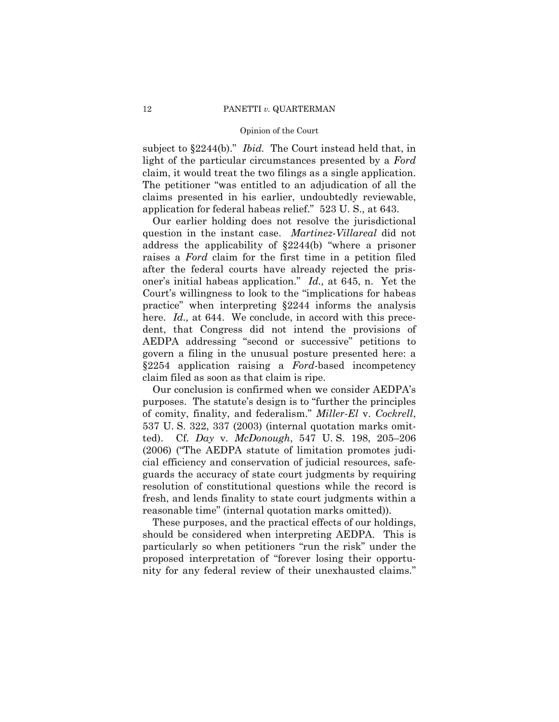subject to §2244(b)." *Ibid.* The Court instead held that, in light of the particular circumstances presented by a *Ford*  claim, it would treat the two filings as a single application. The petitioner "was entitled to an adjudication of all the claims presented in his earlier, undoubtedly reviewable, application for federal habeas relief." 523 U. S., at 643.

Our earlier holding does not resolve the jurisdictional question in the instant case. *Martinez-Villareal* did not address the applicability of §2244(b) "where a prisoner raises a *Ford* claim for the first time in a petition filed after the federal courts have already rejected the prisoner's initial habeas application." *Id.,* at 645, n. Yet the Court's willingness to look to the "implications for habeas practice" when interpreting §2244 informs the analysis here. *Id.*, at 644. We conclude, in accord with this precedent, that Congress did not intend the provisions of AEDPA addressing "second or successive" petitions to govern a filing in the unusual posture presented here: a §2254 application raising a *Ford*-based incompetency claim filed as soon as that claim is ripe.

Our conclusion is confirmed when we consider AEDPA's purposes. The statute's design is to "further the principles of comity, finality, and federalism." *Miller-El* v. *Cockrell*, 537 U. S. 322, 337 (2003) (internal quotation marks omitted). Cf. *Day* v. *McDonough*, 547 U. S. 198, 205–206 (2006) ("The AEDPA statute of limitation promotes judicial efficiency and conservation of judicial resources, safeguards the accuracy of state court judgments by requiring resolution of constitutional questions while the record is fresh, and lends finality to state court judgments within a reasonable time" (internal quotation marks omitted)).

These purposes, and the practical effects of our holdings, should be considered when interpreting AEDPA. This is particularly so when petitioners "run the risk" under the proposed interpretation of "forever losing their opportunity for any federal review of their unexhausted claims."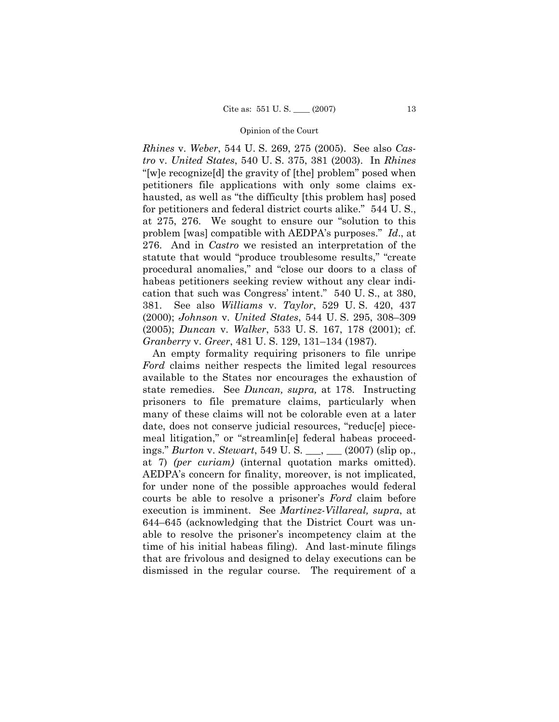*Rhines* v. *Weber*, 544 U. S. 269, 275 (2005). See also *Castro* v. *United States*, 540 U. S. 375, 381 (2003). In *Rhines*  "[w]e recognize[d] the gravity of [the] problem" posed when petitioners file applications with only some claims exhausted, as well as "the difficulty [this problem has] posed for petitioners and federal district courts alike." 544 U. S., at 275, 276. We sought to ensure our "solution to this problem [was] compatible with AEDPA's purposes." *Id*., at 276. And in *Castro* we resisted an interpretation of the statute that would "produce troublesome results," "create procedural anomalies," and "close our doors to a class of habeas petitioners seeking review without any clear indication that such was Congress' intent." 540 U. S., at 380, 381. See also *Williams* v. *Taylor*, 529 U. S. 420, 437 (2000); *Johnson* v. *United States*, 544 U. S. 295, 308–309 (2005); *Duncan* v. *Walker*, 533 U. S. 167, 178 (2001); cf. *Granberry* v. *Greer*, 481 U. S. 129, 131–134 (1987).

An empty formality requiring prisoners to file unripe *Ford* claims neither respects the limited legal resources available to the States nor encourages the exhaustion of state remedies. See *Duncan, supra,* at 178. Instructing prisoners to file premature claims, particularly when many of these claims will not be colorable even at a later date, does not conserve judicial resources, "reduc[e] piecemeal litigation," or "streamlin[e] federal habeas proceedings." *Burton* v. *Stewart*, 549 U. S. \_\_\_, \_\_\_ (2007) (slip op., at 7) *(per curiam)* (internal quotation marks omitted). AEDPA's concern for finality, moreover, is not implicated, for under none of the possible approaches would federal courts be able to resolve a prisoner's *Ford* claim before execution is imminent. See *Martinez-Villareal, supra*, at 644–645 (acknowledging that the District Court was unable to resolve the prisoner's incompetency claim at the time of his initial habeas filing). And last-minute filings that are frivolous and designed to delay executions can be dismissed in the regular course. The requirement of a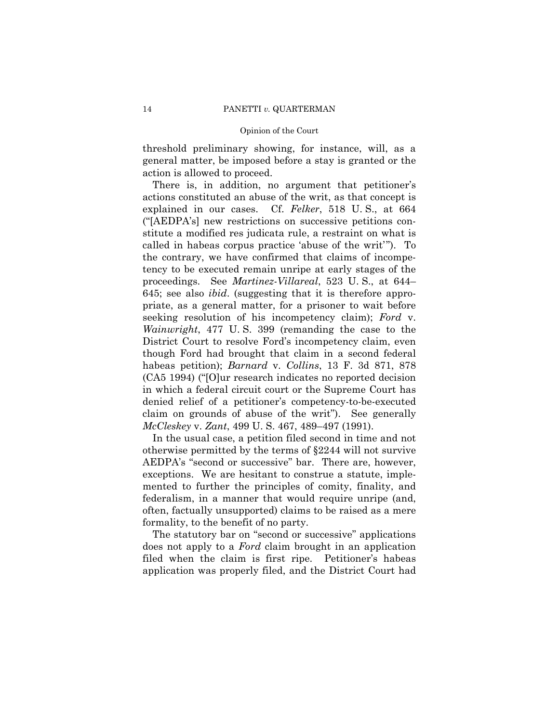threshold preliminary showing, for instance, will, as a general matter, be imposed before a stay is granted or the action is allowed to proceed.

There is, in addition, no argument that petitioner's actions constituted an abuse of the writ, as that concept is explained in our cases. Cf. *Felker*, 518 U. S., at 664 ("[AEDPA's] new restrictions on successive petitions constitute a modified res judicata rule, a restraint on what is called in habeas corpus practice 'abuse of the writ'"). To the contrary, we have confirmed that claims of incompetency to be executed remain unripe at early stages of the proceedings. See *Martinez-Villareal*, 523 U. S., at 644– 645; see also *ibid*. (suggesting that it is therefore appropriate, as a general matter, for a prisoner to wait before seeking resolution of his incompetency claim); *Ford* v. *Wainwright*, 477 U. S. 399 (remanding the case to the District Court to resolve Ford's incompetency claim, even though Ford had brought that claim in a second federal habeas petition); *Barnard* v. *Collins*, 13 F. 3d 871, 878 (CA5 1994) ("[O]ur research indicates no reported decision in which a federal circuit court or the Supreme Court has denied relief of a petitioner's competency-to-be-executed claim on grounds of abuse of the writ"). See generally *McCleskey* v. *Zant*, 499 U. S. 467, 489–497 (1991).

In the usual case, a petition filed second in time and not otherwise permitted by the terms of §2244 will not survive AEDPA's "second or successive" bar. There are, however, exceptions. We are hesitant to construe a statute, implemented to further the principles of comity, finality, and federalism, in a manner that would require unripe (and, often, factually unsupported) claims to be raised as a mere formality, to the benefit of no party.

The statutory bar on "second or successive" applications does not apply to a *Ford* claim brought in an application filed when the claim is first ripe. Petitioner's habeas application was properly filed, and the District Court had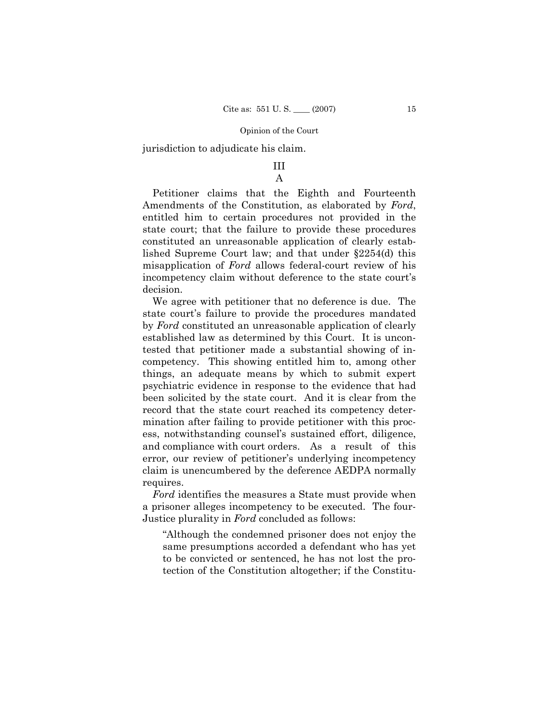jurisdiction to adjudicate his claim.

# III

# A

Petitioner claims that the Eighth and Fourteenth Amendments of the Constitution, as elaborated by *Ford*, entitled him to certain procedures not provided in the state court; that the failure to provide these procedures constituted an unreasonable application of clearly established Supreme Court law; and that under §2254(d) this misapplication of *Ford* allows federal-court review of his incompetency claim without deference to the state court's decision.

We agree with petitioner that no deference is due. The state court's failure to provide the procedures mandated by *Ford* constituted an unreasonable application of clearly established law as determined by this Court. It is uncontested that petitioner made a substantial showing of incompetency. This showing entitled him to, among other things, an adequate means by which to submit expert psychiatric evidence in response to the evidence that had been solicited by the state court. And it is clear from the record that the state court reached its competency determination after failing to provide petitioner with this process, notwithstanding counsel's sustained effort, diligence, and compliance with court orders. As a result of this error, our review of petitioner's underlying incompetency claim is unencumbered by the deference AEDPA normally requires.

*Ford* identifies the measures a State must provide when a prisoner alleges incompetency to be executed. The four-Justice plurality in *Ford* concluded as follows:

"Although the condemned prisoner does not enjoy the same presumptions accorded a defendant who has yet to be convicted or sentenced, he has not lost the protection of the Constitution altogether; if the Constitu-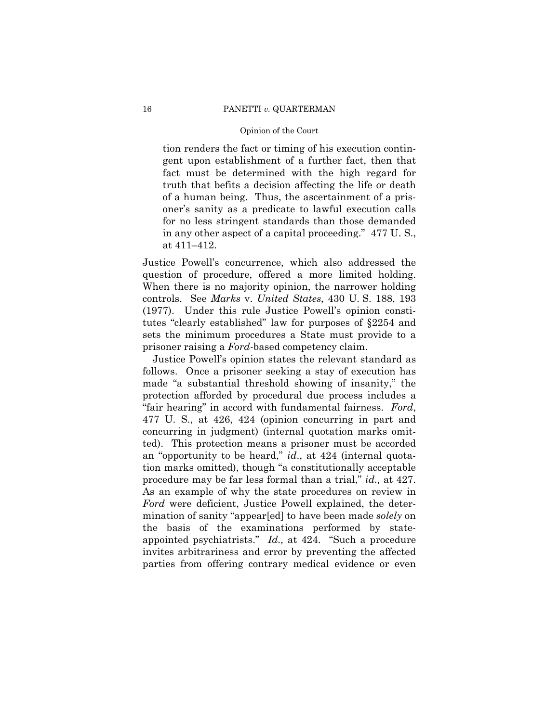tion renders the fact or timing of his execution contingent upon establishment of a further fact, then that fact must be determined with the high regard for truth that befits a decision affecting the life or death of a human being. Thus, the ascertainment of a prisoner's sanity as a predicate to lawful execution calls for no less stringent standards than those demanded in any other aspect of a capital proceeding." 477 U. S., at 411–412.

Justice Powell's concurrence, which also addressed the question of procedure, offered a more limited holding. When there is no majority opinion, the narrower holding controls. See *Marks* v. *United States*, 430 U. S. 188, 193 (1977). Under this rule Justice Powell's opinion constitutes "clearly established" law for purposes of §2254 and sets the minimum procedures a State must provide to a prisoner raising a *Ford*-based competency claim.

Justice Powell's opinion states the relevant standard as follows. Once a prisoner seeking a stay of execution has made "a substantial threshold showing of insanity," the protection afforded by procedural due process includes a "fair hearing" in accord with fundamental fairness. *Ford*, 477 U. S., at 426, 424 (opinion concurring in part and concurring in judgment) (internal quotation marks omitted). This protection means a prisoner must be accorded an "opportunity to be heard," *id*., at 424 (internal quotation marks omitted), though "a constitutionally acceptable procedure may be far less formal than a trial," *id.,* at 427. As an example of why the state procedures on review in *Ford* were deficient, Justice Powell explained, the determination of sanity "appear[ed] to have been made *solely* on the basis of the examinations performed by stateappointed psychiatrists." *Id.,* at 424. "Such a procedure invites arbitrariness and error by preventing the affected parties from offering contrary medical evidence or even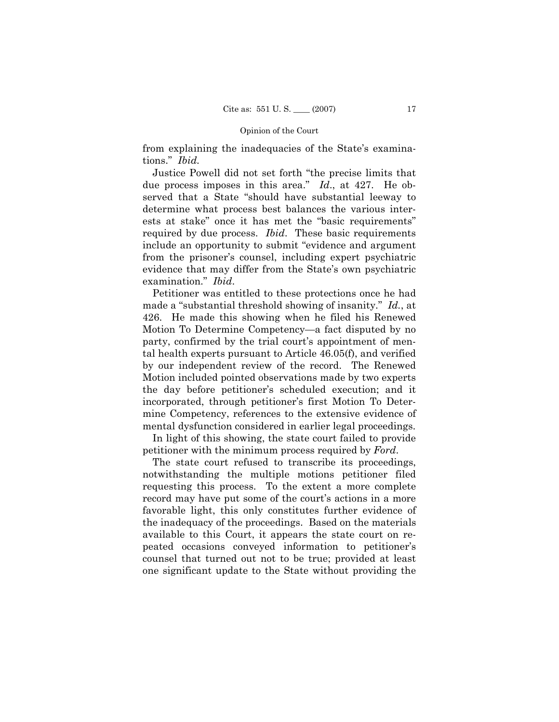from explaining the inadequacies of the State's examinations." *Ibid.* 

Justice Powell did not set forth "the precise limits that due process imposes in this area." *Id*., at 427. He observed that a State "should have substantial leeway to determine what process best balances the various interests at stake" once it has met the "basic requirements" required by due process. *Ibid*. These basic requirements include an opportunity to submit "evidence and argument from the prisoner's counsel, including expert psychiatric evidence that may differ from the State's own psychiatric examination." *Ibid*.

Petitioner was entitled to these protections once he had made a "substantial threshold showing of insanity." *Id.*, at 426. He made this showing when he filed his Renewed Motion To Determine Competency—a fact disputed by no party, confirmed by the trial court's appointment of mental health experts pursuant to Article 46.05(f), and verified by our independent review of the record. The Renewed Motion included pointed observations made by two experts the day before petitioner's scheduled execution; and it incorporated, through petitioner's first Motion To Determine Competency, references to the extensive evidence of mental dysfunction considered in earlier legal proceedings.

In light of this showing, the state court failed to provide petitioner with the minimum process required by *Ford*.

The state court refused to transcribe its proceedings, notwithstanding the multiple motions petitioner filed requesting this process. To the extent a more complete record may have put some of the court's actions in a more favorable light, this only constitutes further evidence of the inadequacy of the proceedings. Based on the materials available to this Court, it appears the state court on repeated occasions conveyed information to petitioner's counsel that turned out not to be true; provided at least one significant update to the State without providing the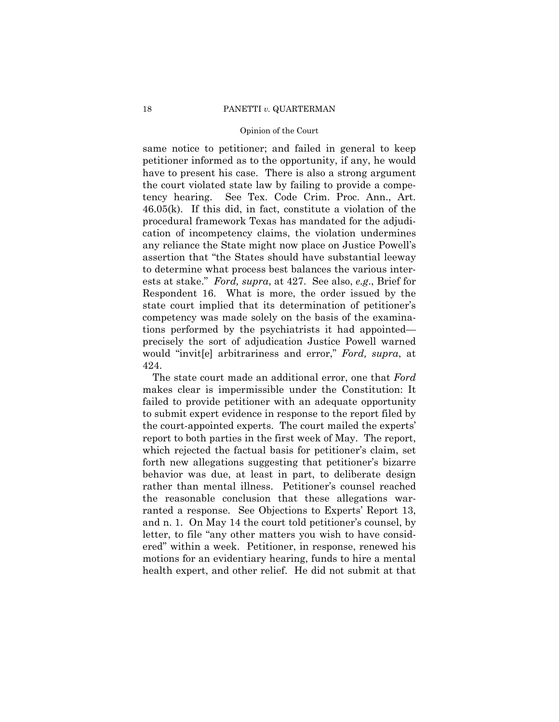same notice to petitioner; and failed in general to keep petitioner informed as to the opportunity, if any, he would have to present his case. There is also a strong argument the court violated state law by failing to provide a competency hearing. See Tex. Code Crim. Proc. Ann., Art. 46.05(k). If this did, in fact, constitute a violation of the procedural framework Texas has mandated for the adjudication of incompetency claims, the violation undermines any reliance the State might now place on Justice Powell's assertion that "the States should have substantial leeway to determine what process best balances the various interests at stake." *Ford, supra*, at 427. See also, *e.g*., Brief for Respondent 16. What is more, the order issued by the state court implied that its determination of petitioner's competency was made solely on the basis of the examinations performed by the psychiatrists it had appointed precisely the sort of adjudication Justice Powell warned would "invit[e] arbitrariness and error," *Ford, supra*, at 424.

The state court made an additional error, one that *Ford*  makes clear is impermissible under the Constitution: It failed to provide petitioner with an adequate opportunity to submit expert evidence in response to the report filed by the court-appointed experts. The court mailed the experts' report to both parties in the first week of May. The report, which rejected the factual basis for petitioner's claim, set forth new allegations suggesting that petitioner's bizarre behavior was due, at least in part, to deliberate design rather than mental illness. Petitioner's counsel reached the reasonable conclusion that these allegations warranted a response. See Objections to Experts' Report 13, and n. 1. On May 14 the court told petitioner's counsel, by letter, to file "any other matters you wish to have considered" within a week. Petitioner, in response, renewed his motions for an evidentiary hearing, funds to hire a mental health expert, and other relief. He did not submit at that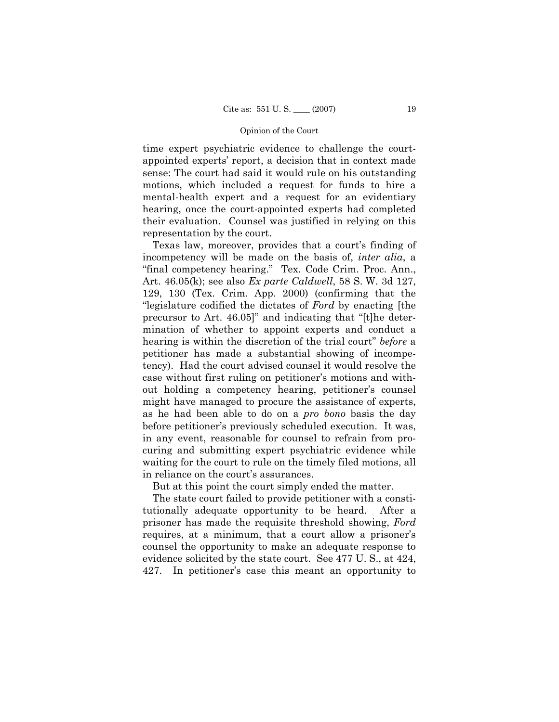time expert psychiatric evidence to challenge the courtappointed experts' report, a decision that in context made sense: The court had said it would rule on his outstanding motions, which included a request for funds to hire a mental-health expert and a request for an evidentiary hearing, once the court-appointed experts had completed their evaluation. Counsel was justified in relying on this representation by the court.

Texas law, moreover, provides that a court's finding of incompetency will be made on the basis of, *inter alia*, a "final competency hearing." Tex. Code Crim. Proc. Ann., Art. 46.05(k); see also *Ex parte Caldwell*, 58 S. W. 3d 127, 129, 130 (Tex. Crim. App. 2000) (confirming that the "legislature codified the dictates of *Ford* by enacting [the precursor to Art. 46.05]" and indicating that "[t]he determination of whether to appoint experts and conduct a hearing is within the discretion of the trial court" *before* a petitioner has made a substantial showing of incompetency). Had the court advised counsel it would resolve the case without first ruling on petitioner's motions and without holding a competency hearing, petitioner's counsel might have managed to procure the assistance of experts, as he had been able to do on a *pro bono* basis the day before petitioner's previously scheduled execution. It was, in any event, reasonable for counsel to refrain from procuring and submitting expert psychiatric evidence while waiting for the court to rule on the timely filed motions, all in reliance on the court's assurances.

But at this point the court simply ended the matter.

The state court failed to provide petitioner with a constitutionally adequate opportunity to be heard. After a prisoner has made the requisite threshold showing, *Ford*  requires, at a minimum, that a court allow a prisoner's counsel the opportunity to make an adequate response to evidence solicited by the state court. See 477 U. S., at 424, 427. In petitioner's case this meant an opportunity to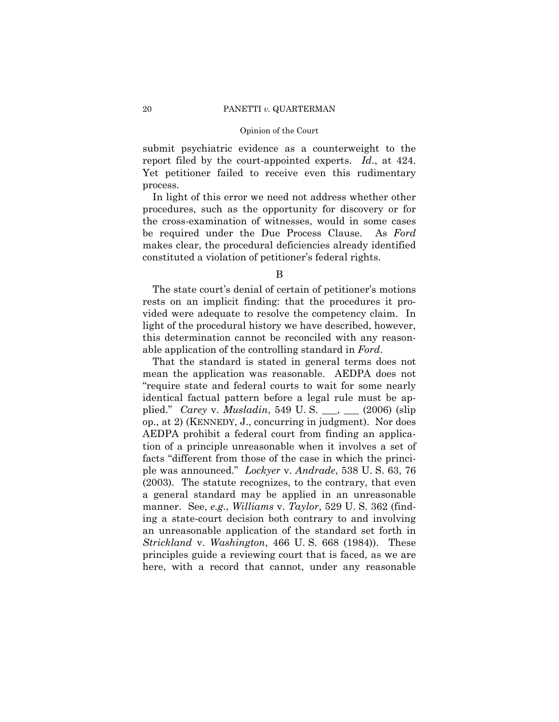submit psychiatric evidence as a counterweight to the report filed by the court-appointed experts. *Id*., at 424. Yet petitioner failed to receive even this rudimentary process.

In light of this error we need not address whether other procedures, such as the opportunity for discovery or for the cross-examination of witnesses, would in some cases be required under the Due Process Clause. As *Ford*  makes clear, the procedural deficiencies already identified constituted a violation of petitioner's federal rights.

B

The state court's denial of certain of petitioner's motions rests on an implicit finding: that the procedures it provided were adequate to resolve the competency claim. In light of the procedural history we have described, however, this determination cannot be reconciled with any reasonable application of the controlling standard in *Ford*.

That the standard is stated in general terms does not mean the application was reasonable. AEDPA does not "require state and federal courts to wait for some nearly identical factual pattern before a legal rule must be applied." *Carey* v. *Musladin*, 549 U. S. \_\_\_, \_\_\_ (2006) (slip op., at 2) (KENNEDY, J., concurring in judgment). Nor does AEDPA prohibit a federal court from finding an application of a principle unreasonable when it involves a set of facts "different from those of the case in which the principle was announced." *Lockyer* v. *Andrade*, 538 U. S. 63, 76 (2003). The statute recognizes, to the contrary, that even a general standard may be applied in an unreasonable manner. See, *e.g*., *Williams* v. *Taylor*, 529 U. S. 362 (finding a state-court decision both contrary to and involving an unreasonable application of the standard set forth in *Strickland* v. *Washington*, 466 U. S. 668 (1984)). These principles guide a reviewing court that is faced, as we are here, with a record that cannot, under any reasonable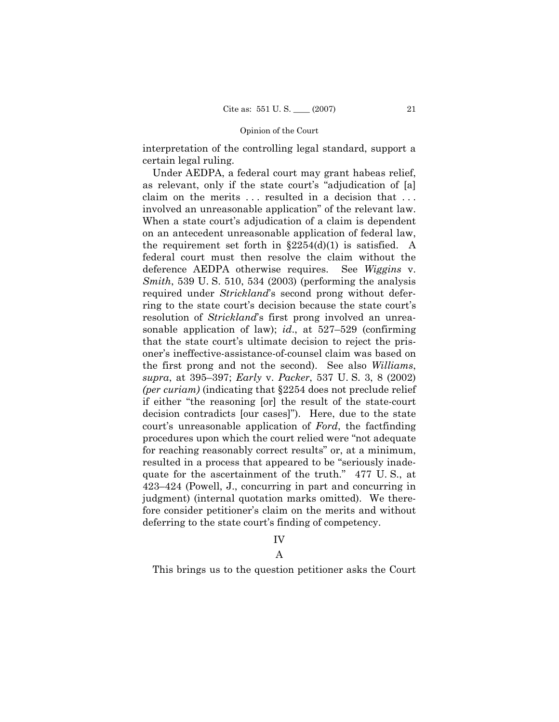interpretation of the controlling legal standard, support a certain legal ruling.

Under AEDPA, a federal court may grant habeas relief, as relevant, only if the state court's "adjudication of [a] claim on the merits ... resulted in a decision that ... involved an unreasonable application" of the relevant law. When a state court's adjudication of a claim is dependent on an antecedent unreasonable application of federal law, the requirement set forth in  $\S 2254(d)(1)$  is satisfied. A federal court must then resolve the claim without the deference AEDPA otherwise requires. See *Wiggins* v. *Smith*, 539 U. S. 510, 534 (2003) (performing the analysis required under *Strickland*'s second prong without deferring to the state court's decision because the state court's resolution of *Strickland*'s first prong involved an unreasonable application of law); *id*., at 527–529 (confirming that the state court's ultimate decision to reject the prisoner's ineffective-assistance-of-counsel claim was based on the first prong and not the second). See also *Williams*, *supra*, at 395–397; *Early* v. *Packer*, 537 U. S. 3, 8 (2002) *(per curiam)* (indicating that §2254 does not preclude relief if either "the reasoning [or] the result of the state-court decision contradicts [our cases]"). Here, due to the state court's unreasonable application of *Ford*, the factfinding procedures upon which the court relied were "not adequate for reaching reasonably correct results" or, at a minimum, resulted in a process that appeared to be "seriously inadequate for the ascertainment of the truth." 477 U. S., at 423–424 (Powell, J., concurring in part and concurring in judgment) (internal quotation marks omitted). We therefore consider petitioner's claim on the merits and without deferring to the state court's finding of competency.

# IV

# A

This brings us to the question petitioner asks the Court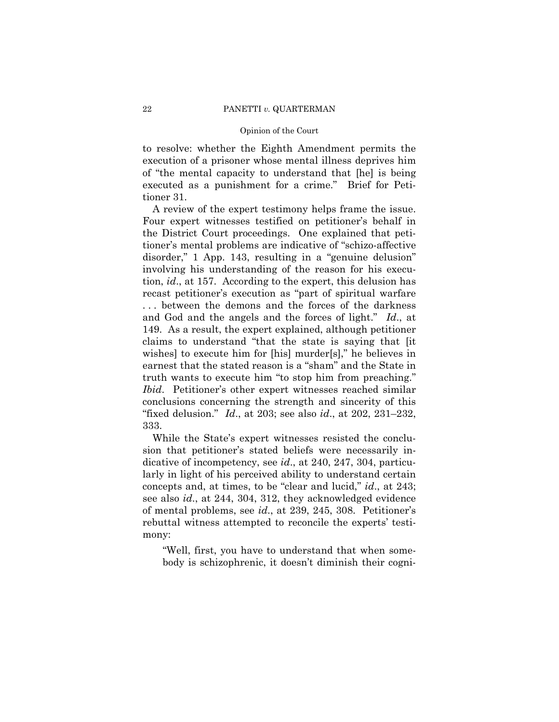to resolve: whether the Eighth Amendment permits the execution of a prisoner whose mental illness deprives him of "the mental capacity to understand that [he] is being executed as a punishment for a crime." Brief for Petitioner 31.

A review of the expert testimony helps frame the issue. Four expert witnesses testified on petitioner's behalf in the District Court proceedings. One explained that petitioner's mental problems are indicative of "schizo-affective disorder," 1 App. 143, resulting in a "genuine delusion" involving his understanding of the reason for his execution, *id*., at 157. According to the expert, this delusion has recast petitioner's execution as "part of spiritual warfare . . . between the demons and the forces of the darkness and God and the angels and the forces of light." *Id*., at 149. As a result, the expert explained, although petitioner claims to understand "that the state is saying that [it wishes] to execute him for [his] murder[s]," he believes in earnest that the stated reason is a "sham" and the State in truth wants to execute him "to stop him from preaching." *Ibid*. Petitioner's other expert witnesses reached similar conclusions concerning the strength and sincerity of this "fixed delusion." *Id*., at 203; see also *id*., at 202, 231–232, 333.

While the State's expert witnesses resisted the conclusion that petitioner's stated beliefs were necessarily indicative of incompetency, see *id*., at 240, 247, 304, particularly in light of his perceived ability to understand certain concepts and, at times, to be "clear and lucid," *id*., at 243; see also *id*., at 244, 304, 312, they acknowledged evidence of mental problems, see *id*., at 239, 245, 308. Petitioner's rebuttal witness attempted to reconcile the experts' testimony:

"Well, first, you have to understand that when somebody is schizophrenic, it doesn't diminish their cogni-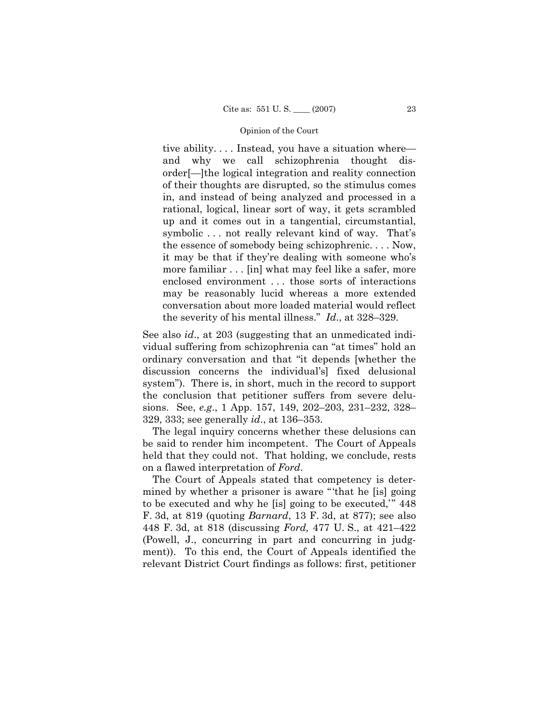tive ability. . . . Instead, you have a situation where and why we call schizophrenia thought disorder[—]the logical integration and reality connection of their thoughts are disrupted, so the stimulus comes in, and instead of being analyzed and processed in a rational, logical, linear sort of way, it gets scrambled up and it comes out in a tangential, circumstantial, symbolic . . . not really relevant kind of way. That's the essence of somebody being schizophrenic. . . . Now, it may be that if they're dealing with someone who's more familiar . . . [in] what may feel like a safer, more enclosed environment . . . those sorts of interactions may be reasonably lucid whereas a more extended conversation about more loaded material would reflect the severity of his mental illness." *Id*., at 328–329.

See also *id*., at 203 (suggesting that an unmedicated individual suffering from schizophrenia can "at times" hold an ordinary conversation and that "it depends [whether the discussion concerns the individual's] fixed delusional system"). There is, in short, much in the record to support the conclusion that petitioner suffers from severe delusions. See, *e.g*., 1 App. 157, 149, 202–203, 231–232, 328– 329, 333; see generally *id*., at 136–353.

The legal inquiry concerns whether these delusions can be said to render him incompetent. The Court of Appeals held that they could not. That holding, we conclude, rests on a flawed interpretation of *Ford*.

The Court of Appeals stated that competency is determined by whether a prisoner is aware "'that he [is] going to be executed and why he [is] going to be executed,'" 448 F. 3d, at 819 (quoting *Barnard*, 13 F. 3d, at 877); see also 448 F. 3d, at 818 (discussing *Ford,* 477 U. S., at 421–422 (Powell, J., concurring in part and concurring in judgment)). To this end, the Court of Appeals identified the relevant District Court findings as follows: first, petitioner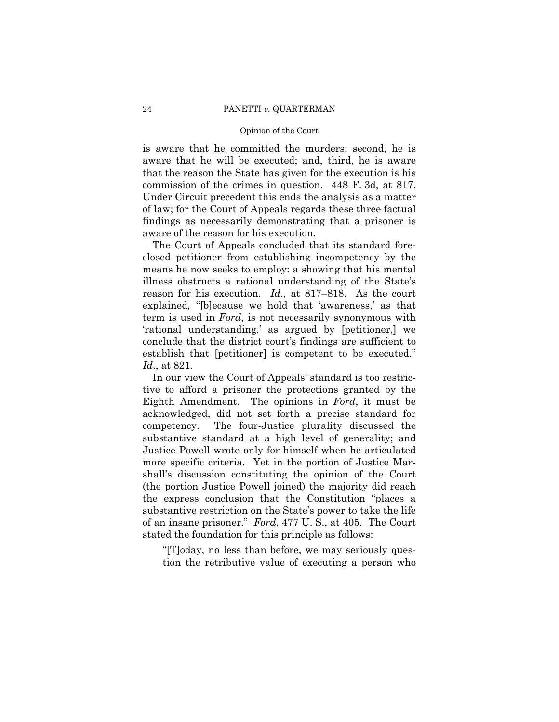is aware that he committed the murders; second, he is aware that he will be executed; and, third, he is aware that the reason the State has given for the execution is his commission of the crimes in question. 448 F. 3d, at 817. Under Circuit precedent this ends the analysis as a matter of law; for the Court of Appeals regards these three factual findings as necessarily demonstrating that a prisoner is aware of the reason for his execution.

The Court of Appeals concluded that its standard foreclosed petitioner from establishing incompetency by the means he now seeks to employ: a showing that his mental illness obstructs a rational understanding of the State's reason for his execution. *Id*., at 817–818. As the court explained, "[b]ecause we hold that 'awareness,' as that term is used in *Ford*, is not necessarily synonymous with 'rational understanding,' as argued by [petitioner,] we conclude that the district court's findings are sufficient to establish that [petitioner] is competent to be executed." *Id*., at 821.

In our view the Court of Appeals' standard is too restrictive to afford a prisoner the protections granted by the Eighth Amendment. The opinions in *Ford*, it must be acknowledged, did not set forth a precise standard for competency. The four-Justice plurality discussed the substantive standard at a high level of generality; and Justice Powell wrote only for himself when he articulated more specific criteria. Yet in the portion of Justice Marshall's discussion constituting the opinion of the Court (the portion Justice Powell joined) the majority did reach the express conclusion that the Constitution "places a substantive restriction on the State's power to take the life of an insane prisoner." *Ford*, 477 U. S., at 405. The Court stated the foundation for this principle as follows:

"[T]oday, no less than before, we may seriously question the retributive value of executing a person who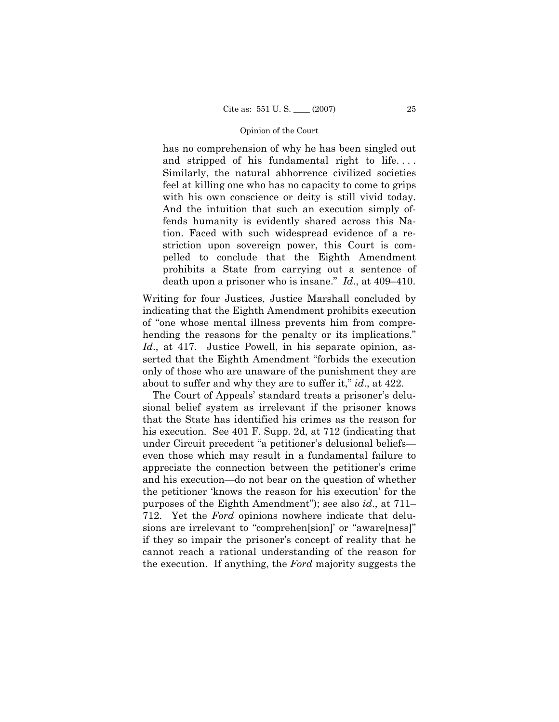has no comprehension of why he has been singled out and stripped of his fundamental right to life. . . . Similarly, the natural abhorrence civilized societies feel at killing one who has no capacity to come to grips with his own conscience or deity is still vivid today. And the intuition that such an execution simply offends humanity is evidently shared across this Nation. Faced with such widespread evidence of a restriction upon sovereign power, this Court is compelled to conclude that the Eighth Amendment prohibits a State from carrying out a sentence of death upon a prisoner who is insane." *Id*., at 409–410.

Writing for four Justices, Justice Marshall concluded by indicating that the Eighth Amendment prohibits execution of "one whose mental illness prevents him from comprehending the reasons for the penalty or its implications." *Id*., at 417. Justice Powell, in his separate opinion, asserted that the Eighth Amendment "forbids the execution only of those who are unaware of the punishment they are about to suffer and why they are to suffer it," *id*., at 422.

The Court of Appeals' standard treats a prisoner's delusional belief system as irrelevant if the prisoner knows that the State has identified his crimes as the reason for his execution. See 401 F. Supp. 2d, at 712 (indicating that under Circuit precedent "a petitioner's delusional beliefs even those which may result in a fundamental failure to appreciate the connection between the petitioner's crime and his execution—do not bear on the question of whether the petitioner 'knows the reason for his execution' for the purposes of the Eighth Amendment"); see also *id*., at 711– 712. Yet the *Ford* opinions nowhere indicate that delusions are irrelevant to "comprehen[sion]' or "aware[ness]" if they so impair the prisoner's concept of reality that he cannot reach a rational understanding of the reason for the execution. If anything, the *Ford* majority suggests the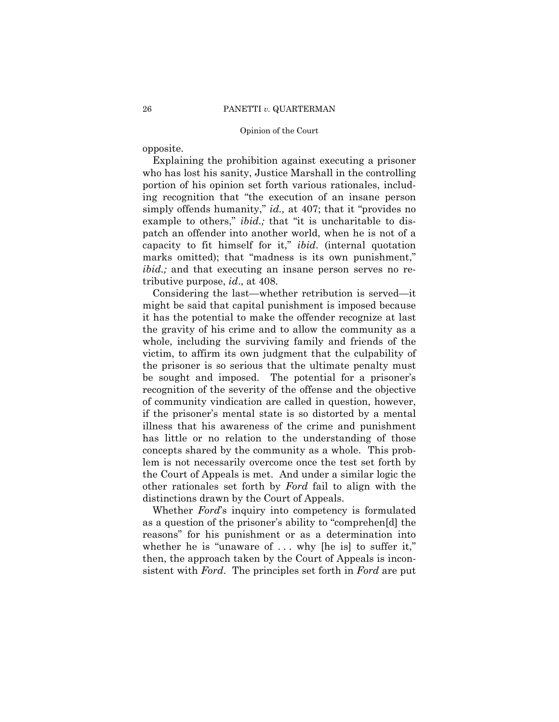opposite.

 Explaining the prohibition against executing a prisoner who has lost his sanity, Justice Marshall in the controlling portion of his opinion set forth various rationales, including recognition that "the execution of an insane person simply offends humanity," *id.,* at 407; that it "provides no example to others," *ibid.*; that "it is uncharitable to dispatch an offender into another world, when he is not of a capacity to fit himself for it," *ibid*. (internal quotation marks omitted); that "madness is its own punishment," *ibid.*; and that executing an insane person serves no retributive purpose, *id*., at 408.

Considering the last—whether retribution is served—it might be said that capital punishment is imposed because it has the potential to make the offender recognize at last the gravity of his crime and to allow the community as a whole, including the surviving family and friends of the victim, to affirm its own judgment that the culpability of the prisoner is so serious that the ultimate penalty must be sought and imposed. The potential for a prisoner's recognition of the severity of the offense and the objective of community vindication are called in question, however, if the prisoner's mental state is so distorted by a mental illness that his awareness of the crime and punishment has little or no relation to the understanding of those concepts shared by the community as a whole. This problem is not necessarily overcome once the test set forth by the Court of Appeals is met. And under a similar logic the other rationales set forth by *Ford* fail to align with the distinctions drawn by the Court of Appeals.

Whether *Ford*'s inquiry into competency is formulated as a question of the prisoner's ability to "comprehen[d] the reasons" for his punishment or as a determination into whether he is "unaware of ... why [he is] to suffer it," then, the approach taken by the Court of Appeals is inconsistent with *Ford*. The principles set forth in *Ford* are put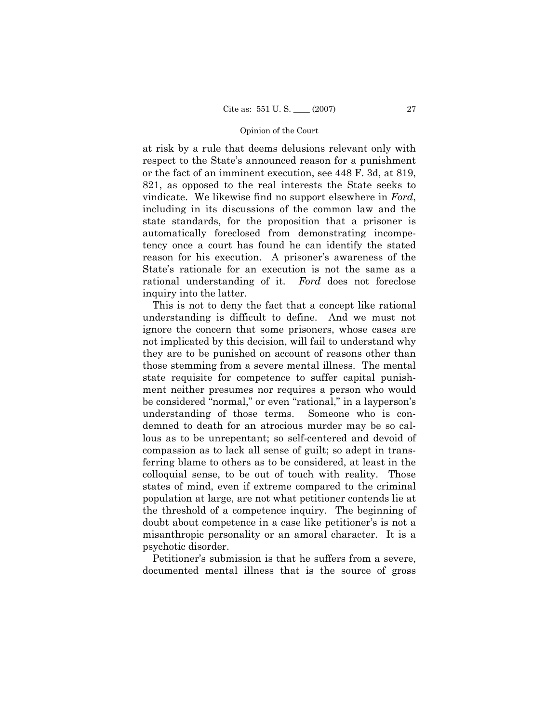at risk by a rule that deems delusions relevant only with respect to the State's announced reason for a punishment or the fact of an imminent execution, see 448 F. 3d, at 819, 821, as opposed to the real interests the State seeks to vindicate. We likewise find no support elsewhere in *Ford*, including in its discussions of the common law and the state standards, for the proposition that a prisoner is automatically foreclosed from demonstrating incompetency once a court has found he can identify the stated reason for his execution. A prisoner's awareness of the State's rationale for an execution is not the same as a rational understanding of it. *Ford* does not foreclose inquiry into the latter.

This is not to deny the fact that a concept like rational understanding is difficult to define. And we must not ignore the concern that some prisoners, whose cases are not implicated by this decision, will fail to understand why they are to be punished on account of reasons other than those stemming from a severe mental illness. The mental state requisite for competence to suffer capital punishment neither presumes nor requires a person who would be considered "normal," or even "rational," in a layperson's understanding of those terms. Someone who is condemned to death for an atrocious murder may be so callous as to be unrepentant; so self-centered and devoid of compassion as to lack all sense of guilt; so adept in transferring blame to others as to be considered, at least in the colloquial sense, to be out of touch with reality. Those states of mind, even if extreme compared to the criminal population at large, are not what petitioner contends lie at the threshold of a competence inquiry. The beginning of doubt about competence in a case like petitioner's is not a misanthropic personality or an amoral character. It is a psychotic disorder.

Petitioner's submission is that he suffers from a severe, documented mental illness that is the source of gross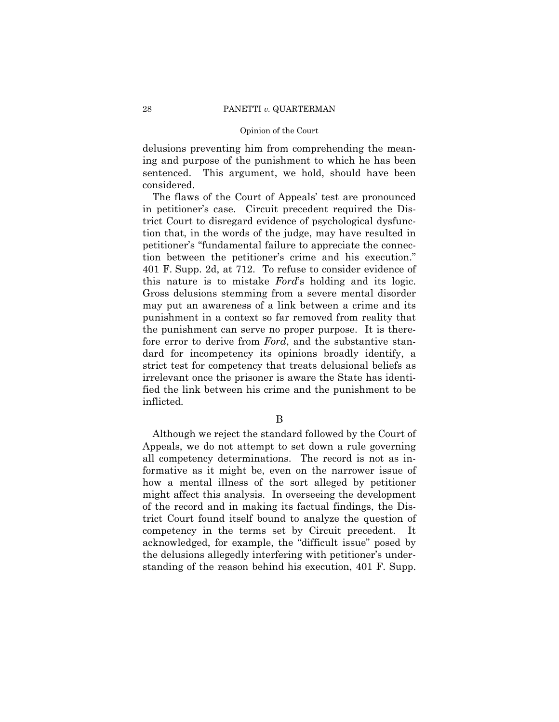delusions preventing him from comprehending the meaning and purpose of the punishment to which he has been sentenced. This argument, we hold, should have been considered.

The flaws of the Court of Appeals' test are pronounced in petitioner's case. Circuit precedent required the District Court to disregard evidence of psychological dysfunction that, in the words of the judge, may have resulted in petitioner's "fundamental failure to appreciate the connection between the petitioner's crime and his execution." 401 F. Supp. 2d, at 712. To refuse to consider evidence of this nature is to mistake *Ford*'s holding and its logic. Gross delusions stemming from a severe mental disorder may put an awareness of a link between a crime and its punishment in a context so far removed from reality that the punishment can serve no proper purpose. It is therefore error to derive from *Ford*, and the substantive standard for incompetency its opinions broadly identify, a strict test for competency that treats delusional beliefs as irrelevant once the prisoner is aware the State has identified the link between his crime and the punishment to be inflicted.

B

Although we reject the standard followed by the Court of Appeals, we do not attempt to set down a rule governing all competency determinations. The record is not as informative as it might be, even on the narrower issue of how a mental illness of the sort alleged by petitioner might affect this analysis. In overseeing the development of the record and in making its factual findings, the District Court found itself bound to analyze the question of competency in the terms set by Circuit precedent. It acknowledged, for example, the "difficult issue" posed by the delusions allegedly interfering with petitioner's understanding of the reason behind his execution, 401 F. Supp.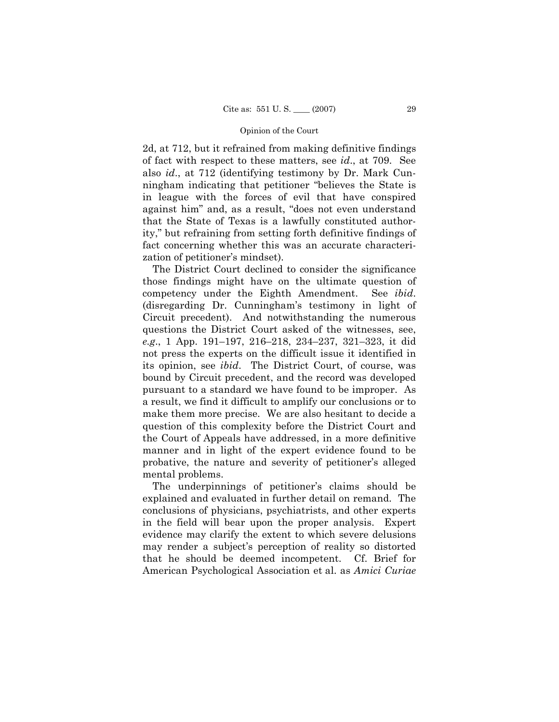2d, at 712, but it refrained from making definitive findings of fact with respect to these matters, see *id*., at 709. See also *id*., at 712 (identifying testimony by Dr. Mark Cunningham indicating that petitioner "believes the State is in league with the forces of evil that have conspired against him" and, as a result, "does not even understand that the State of Texas is a lawfully constituted authority," but refraining from setting forth definitive findings of fact concerning whether this was an accurate characterization of petitioner's mindset).

The District Court declined to consider the significance those findings might have on the ultimate question of competency under the Eighth Amendment. See *ibid*. (disregarding Dr. Cunningham's testimony in light of Circuit precedent). And notwithstanding the numerous questions the District Court asked of the witnesses, see, *e.g*., 1 App. 191–197, 216–218, 234–237, 321–323, it did not press the experts on the difficult issue it identified in its opinion, see *ibid*. The District Court, of course, was bound by Circuit precedent, and the record was developed pursuant to a standard we have found to be improper. As a result, we find it difficult to amplify our conclusions or to make them more precise. We are also hesitant to decide a question of this complexity before the District Court and the Court of Appeals have addressed, in a more definitive manner and in light of the expert evidence found to be probative, the nature and severity of petitioner's alleged mental problems.

The underpinnings of petitioner's claims should be explained and evaluated in further detail on remand. The conclusions of physicians, psychiatrists, and other experts in the field will bear upon the proper analysis. Expert evidence may clarify the extent to which severe delusions may render a subject's perception of reality so distorted that he should be deemed incompetent. Cf. Brief for American Psychological Association et al. as *Amici Curiae*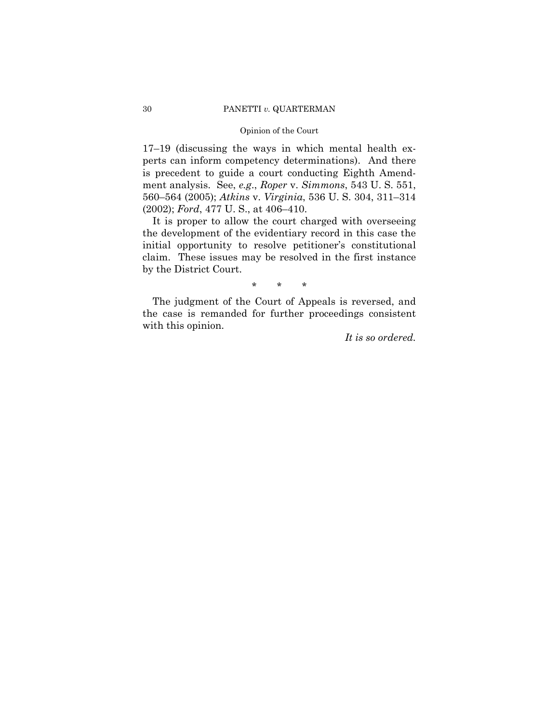#### 30 PANETTI *v.* QUARTERMAN

### Opinion of the Court

17–19 (discussing the ways in which mental health experts can inform competency determinations). And there is precedent to guide a court conducting Eighth Amendment analysis. See, *e.g*., *Roper* v. *Simmons*, 543 U. S. 551, 560–564 (2005); *Atkins* v. *Virginia*, 536 U. S. 304, 311–314 (2002); *Ford*, 477 U. S., at 406–410.

It is proper to allow the court charged with overseeing the development of the evidentiary record in this case the initial opportunity to resolve petitioner's constitutional claim. These issues may be resolved in the first instance by the District Court.

\* \* \*

The judgment of the Court of Appeals is reversed, and the case is remanded for further proceedings consistent with this opinion.

*It is so ordered.*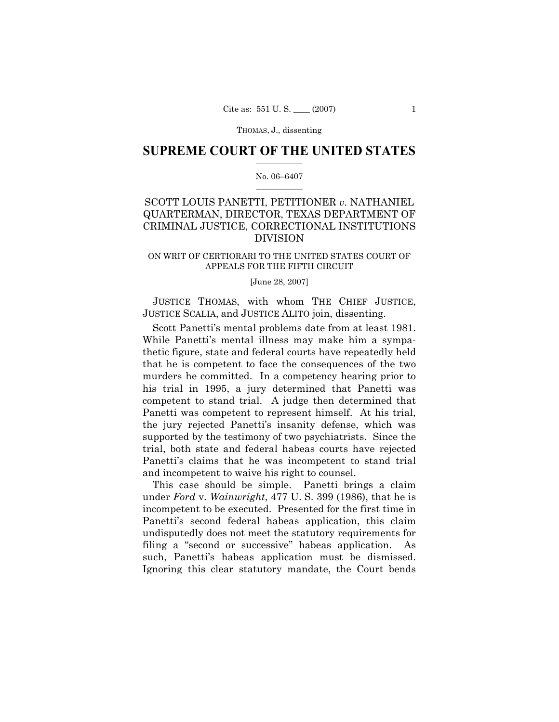# $\frac{1}{2}$  ,  $\frac{1}{2}$  ,  $\frac{1}{2}$  ,  $\frac{1}{2}$  ,  $\frac{1}{2}$  ,  $\frac{1}{2}$  ,  $\frac{1}{2}$ **SUPREME COURT OF THE UNITED STATES**

### $\mathcal{L}=\mathcal{L}$ No. 06–6407

# SCOTT LOUIS PANETTI, PETITIONER *v.* NATHANIEL QUARTERMAN, DIRECTOR, TEXAS DEPARTMENT OF CRIMINAL JUSTICE, CORRECTIONAL INSTITUTIONS DIVISION

# ON WRIT OF CERTIORARI TO THE UNITED STATES COURT OF APPEALS FOR THE FIFTH CIRCUIT

#### [June 28, 2007]

JUSTICE THOMAS, with whom THE CHIEF JUSTICE, JUSTICE SCALIA, and JUSTICE ALITO join, dissenting.

Scott Panetti's mental problems date from at least 1981. While Panetti's mental illness may make him a sympathetic figure, state and federal courts have repeatedly held that he is competent to face the consequences of the two murders he committed. In a competency hearing prior to his trial in 1995, a jury determined that Panetti was competent to stand trial. A judge then determined that Panetti was competent to represent himself. At his trial, the jury rejected Panetti's insanity defense, which was supported by the testimony of two psychiatrists. Since the trial, both state and federal habeas courts have rejected Panetti's claims that he was incompetent to stand trial and incompetent to waive his right to counsel.

This case should be simple. Panetti brings a claim under *Ford* v. *Wainwright*, 477 U. S. 399 (1986), that he is incompetent to be executed. Presented for the first time in Panetti's second federal habeas application, this claim undisputedly does not meet the statutory requirements for filing a "second or successive" habeas application. As such, Panetti's habeas application must be dismissed. Ignoring this clear statutory mandate, the Court bends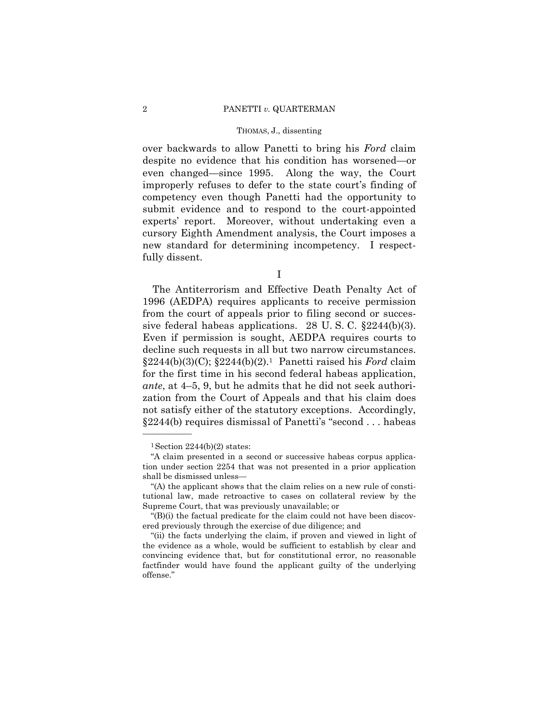over backwards to allow Panetti to bring his *Ford* claim despite no evidence that his condition has worsened—or even changed—since 1995. Along the way, the Court improperly refuses to defer to the state court's finding of competency even though Panetti had the opportunity to submit evidence and to respond to the court-appointed experts' report. Moreover, without undertaking even a cursory Eighth Amendment analysis, the Court imposes a new standard for determining incompetency. I respectfully dissent.

I

The Antiterrorism and Effective Death Penalty Act of 1996 (AEDPA) requires applicants to receive permission from the court of appeals prior to filing second or successive federal habeas applications. 28 U. S. C. §2244(b)(3). Even if permission is sought, AEDPA requires courts to decline such requests in all but two narrow circumstances. §2244(b)(3)(C); §2244(b)(2).1 Panetti raised his *Ford* claim for the first time in his second federal habeas application, *ante*, at 4–5, 9, but he admits that he did not seek authorization from the Court of Appeals and that his claim does not satisfy either of the statutory exceptions. Accordingly, §2244(b) requires dismissal of Panetti's "second . . . habeas

<sup>&</sup>lt;sup>1</sup>Section  $2244(b)(2)$  states:

<sup>&</sup>quot;A claim presented in a second or successive habeas corpus application under section 2254 that was not presented in a prior application shall be dismissed unless—

<sup>&</sup>quot;(A) the applicant shows that the claim relies on a new rule of constitutional law, made retroactive to cases on collateral review by the Supreme Court, that was previously unavailable; or

<sup>&</sup>quot;(B)(i) the factual predicate for the claim could not have been discovered previously through the exercise of due diligence; and

<sup>&</sup>quot;(ii) the facts underlying the claim, if proven and viewed in light of the evidence as a whole, would be sufficient to establish by clear and convincing evidence that, but for constitutional error, no reasonable factfinder would have found the applicant guilty of the underlying offense."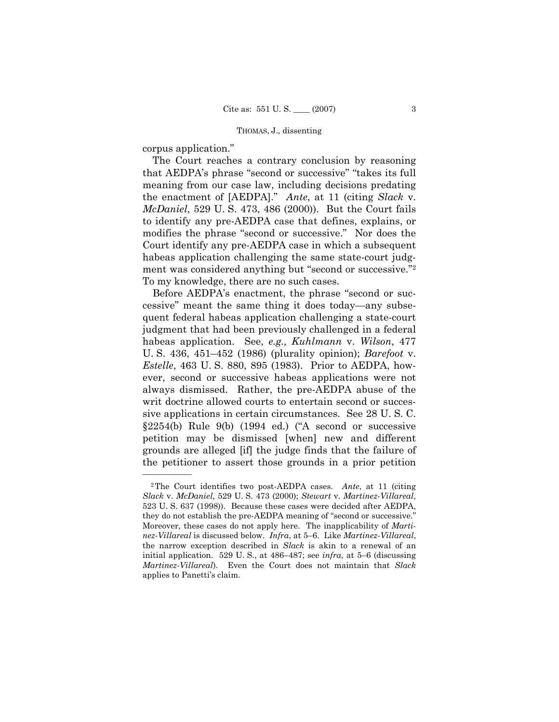corpus application."

——————

The Court reaches a contrary conclusion by reasoning that AEDPA's phrase "second or successive" "takes its full meaning from our case law, including decisions predating the enactment of [AEDPA]." *Ante*, at 11 (citing *Slack* v. *McDaniel*, 529 U. S. 473, 486 (2000)). But the Court fails to identify any pre-AEDPA case that defines, explains, or modifies the phrase "second or successive." Nor does the Court identify any pre-AEDPA case in which a subsequent habeas application challenging the same state-court judgment was considered anything but "second or successive."2 To my knowledge, there are no such cases.

Before AEDPA's enactment, the phrase "second or successive" meant the same thing it does today—any subsequent federal habeas application challenging a state-court judgment that had been previously challenged in a federal habeas application. See, *e.g., Kuhlmann* v. *Wilson*, 477 U. S. 436, 451–452 (1986) (plurality opinion); *Barefoot* v. *Estelle*, 463 U. S. 880, 895 (1983). Prior to AEDPA, however, second or successive habeas applications were not always dismissed. Rather, the pre-AEDPA abuse of the writ doctrine allowed courts to entertain second or successive applications in certain circumstances. See 28 U. S. C.  $§2254(b)$  Rule 9(b) (1994 ed.) ("A second or successive petition may be dismissed [when] new and different grounds are alleged [if] the judge finds that the failure of the petitioner to assert those grounds in a prior petition

<sup>2</sup>The Court identifies two post-AEDPA cases. *Ante*, at 11 (citing *Slack* v. *McDaniel*, 529 U. S. 473 (2000); *Stewart* v. *Martinez-Villareal*, 523 U. S. 637 (1998)). Because these cases were decided after AEDPA, they do not establish the pre-AEDPA meaning of "second or successive." Moreover, these cases do not apply here. The inapplicability of *Martinez-Villareal* is discussed below. *Infra*, at 5–6. Like *Martinez-Villareal*, the narrow exception described in *Slack* is akin to a renewal of an initial application. 529 U. S., at 486–487; see *infra*, at 5–6 (discussing *Martinez-Villareal*). Even the Court does not maintain that *Slack*  applies to Panetti's claim.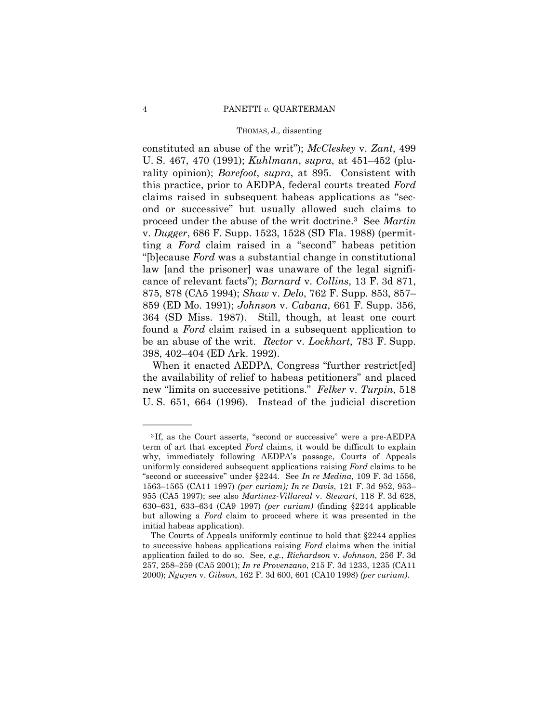constituted an abuse of the writ"); *McCleskey* v. *Zant*, 499 U. S. 467, 470 (1991); *Kuhlmann*, *supra*, at 451–452 (plurality opinion); *Barefoot*, *supra*, at 895. Consistent with this practice, prior to AEDPA, federal courts treated *Ford*  claims raised in subsequent habeas applications as "second or successive" but usually allowed such claims to proceed under the abuse of the writ doctrine.3 See *Martin*  v. *Dugger*, 686 F. Supp. 1523, 1528 (SD Fla. 1988) (permitting a *Ford* claim raised in a "second" habeas petition "[b]ecause *Ford* was a substantial change in constitutional law [and the prisoner] was unaware of the legal significance of relevant facts"); *Barnard* v. *Collins*, 13 F. 3d 871, 875, 878 (CA5 1994); *Shaw* v. *Delo*, 762 F. Supp. 853, 857– 859 (ED Mo. 1991); *Johnson* v. *Cabana*, 661 F. Supp. 356, 364 (SD Miss. 1987). Still, though, at least one court found a *Ford* claim raised in a subsequent application to be an abuse of the writ. *Rector* v. *Lockhart*, 783 F. Supp. 398, 402–404 (ED Ark. 1992).

When it enacted AEDPA, Congress "further restrict [ed] the availability of relief to habeas petitioners" and placed new "limits on successive petitions." *Felker* v. *Turpin*, 518 U. S. 651, 664 (1996). Instead of the judicial discretion

<sup>3</sup> If, as the Court asserts, "second or successive" were a pre-AEDPA term of art that excepted *Ford* claims, it would be difficult to explain why, immediately following AEDPA's passage, Courts of Appeals uniformly considered subsequent applications raising *Ford* claims to be "second or successive" under §2244. See *In re Medina*, 109 F. 3d 1556, 1563–1565 (CA11 1997) *(per curiam); In re Davis*, 121 F. 3d 952, 953– 955 (CA5 1997); see also *Martinez-Villareal* v. *Stewart*, 118 F. 3d 628, 630–631, 633–634 (CA9 1997) *(per curiam)* (finding §2244 applicable but allowing a *Ford* claim to proceed where it was presented in the initial habeas application).

The Courts of Appeals uniformly continue to hold that §2244 applies to successive habeas applications raising *Ford* claims when the initial application failed to do so. See, *e.g.*, *Richardson* v. *Johnson*, 256 F. 3d 257, 258–259 (CA5 2001); *In re Provenzano*, 215 F. 3d 1233, 1235 (CA11 2000); *Nguyen* v. *Gibson*, 162 F. 3d 600, 601 (CA10 1998) *(per curiam)*.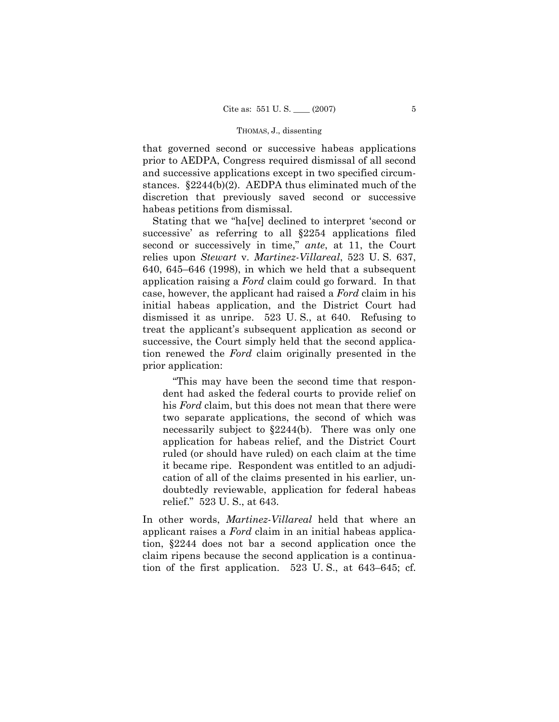that governed second or successive habeas applications prior to AEDPA, Congress required dismissal of all second and successive applications except in two specified circumstances. §2244(b)(2). AEDPA thus eliminated much of the discretion that previously saved second or successive habeas petitions from dismissal.

Stating that we "ha[ve] declined to interpret 'second or successive' as referring to all §2254 applications filed second or successively in time," *ante*, at 11, the Court relies upon *Stewart* v. *Martinez-Villareal*, 523 U. S. 637, 640, 645–646 (1998), in which we held that a subsequent application raising a *Ford* claim could go forward. In that case, however, the applicant had raised a *Ford* claim in his initial habeas application, and the District Court had dismissed it as unripe. 523 U. S., at 640. Refusing to treat the applicant's subsequent application as second or successive, the Court simply held that the second application renewed the *Ford* claim originally presented in the prior application:

"This may have been the second time that respondent had asked the federal courts to provide relief on his *Ford* claim, but this does not mean that there were two separate applications, the second of which was necessarily subject to §2244(b). There was only one application for habeas relief, and the District Court ruled (or should have ruled) on each claim at the time it became ripe. Respondent was entitled to an adjudication of all of the claims presented in his earlier, undoubtedly reviewable, application for federal habeas relief." 523 U. S., at 643.

In other words, *Martinez-Villareal* held that where an applicant raises a *Ford* claim in an initial habeas application, §2244 does not bar a second application once the claim ripens because the second application is a continuation of the first application. 523 U. S., at 643–645; cf.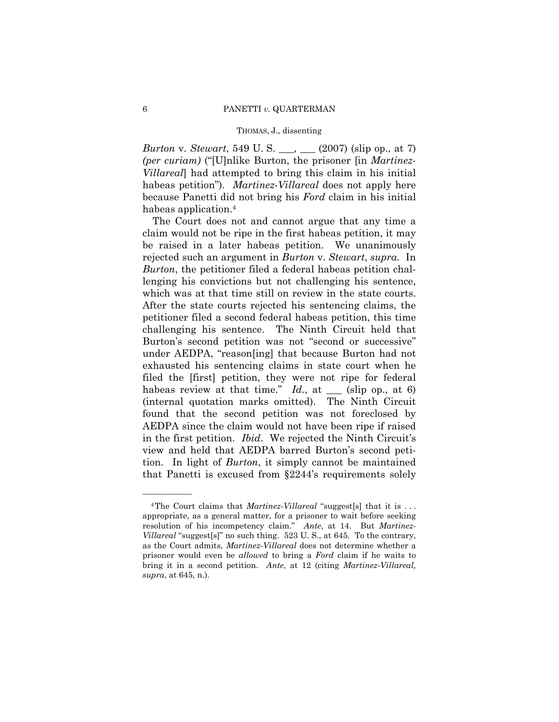*Burton* v. *Stewart*, 549 U. S. \_\_\_, \_\_\_ (2007) (slip op., at 7) *(per curiam)* ("[U]nlike Burton, the prisoner [in *Martinez-Villareal*] had attempted to bring this claim in his initial habeas petition"). *Martinez-Villareal* does not apply here because Panetti did not bring his *Ford* claim in his initial habeas application.4

The Court does not and cannot argue that any time a claim would not be ripe in the first habeas petition, it may be raised in a later habeas petition. We unanimously rejected such an argument in *Burton* v. *Stewart*, *supra.* In *Burton*, the petitioner filed a federal habeas petition challenging his convictions but not challenging his sentence, which was at that time still on review in the state courts. After the state courts rejected his sentencing claims, the petitioner filed a second federal habeas petition, this time challenging his sentence. The Ninth Circuit held that Burton's second petition was not "second or successive" under AEDPA, "reason[ing] that because Burton had not exhausted his sentencing claims in state court when he filed the [first] petition, they were not ripe for federal habeas review at that time."  $Id.$ , at  $\Box$  (slip op., at 6) (internal quotation marks omitted). The Ninth Circuit found that the second petition was not foreclosed by AEDPA since the claim would not have been ripe if raised in the first petition. *Ibid*. We rejected the Ninth Circuit's view and held that AEDPA barred Burton's second petition. In light of *Burton*, it simply cannot be maintained that Panetti is excused from §2244's requirements solely

<sup>&</sup>lt;sup>4</sup>The Court claims that *Martinez-Villareal* "suggest[s] that it is ... appropriate, as a general matter, for a prisoner to wait before seeking resolution of his incompetency claim." *Ante*, at 14. But *Martinez-Villareal* "suggest[s]" no such thing. 523 U. S., at 645. To the contrary, as the Court admits, *Martinez-Villareal* does not determine whether a prisoner would even be *allowed* to bring a *Ford* claim if he waits to bring it in a second petition. *Ante*, at 12 (citing *Martinez-Villareal, supra*, at 645, n.).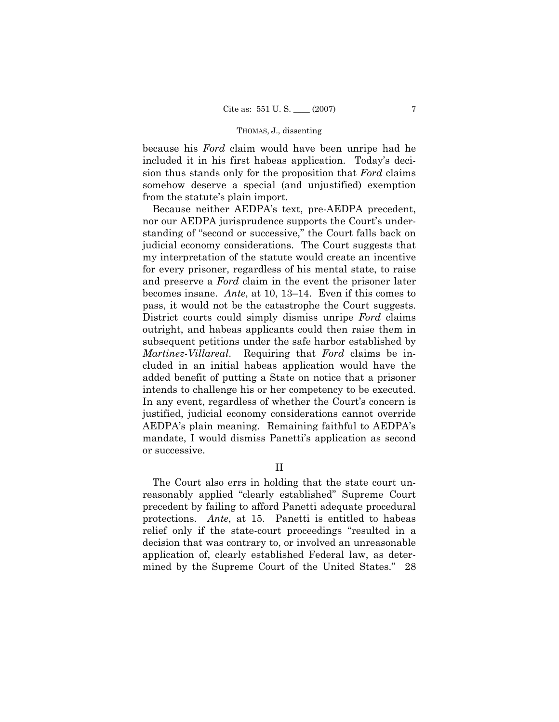because his *Ford* claim would have been unripe had he included it in his first habeas application. Today's decision thus stands only for the proposition that *Ford* claims somehow deserve a special (and unjustified) exemption from the statute's plain import.

Because neither AEDPA's text, pre-AEDPA precedent, nor our AEDPA jurisprudence supports the Court's understanding of "second or successive," the Court falls back on judicial economy considerations. The Court suggests that my interpretation of the statute would create an incentive for every prisoner, regardless of his mental state, to raise and preserve a *Ford* claim in the event the prisoner later becomes insane. *Ante*, at 10, 13–14. Even if this comes to pass, it would not be the catastrophe the Court suggests. District courts could simply dismiss unripe *Ford* claims outright, and habeas applicants could then raise them in subsequent petitions under the safe harbor established by *Martinez-Villareal*. Requiring that *Ford* claims be included in an initial habeas application would have the added benefit of putting a State on notice that a prisoner intends to challenge his or her competency to be executed. In any event, regardless of whether the Court's concern is justified, judicial economy considerations cannot override AEDPA's plain meaning. Remaining faithful to AEDPA's mandate, I would dismiss Panetti's application as second or successive.

II

The Court also errs in holding that the state court unreasonably applied "clearly established" Supreme Court precedent by failing to afford Panetti adequate procedural protections. *Ante*, at 15. Panetti is entitled to habeas relief only if the state-court proceedings "resulted in a decision that was contrary to, or involved an unreasonable application of, clearly established Federal law, as determined by the Supreme Court of the United States." 28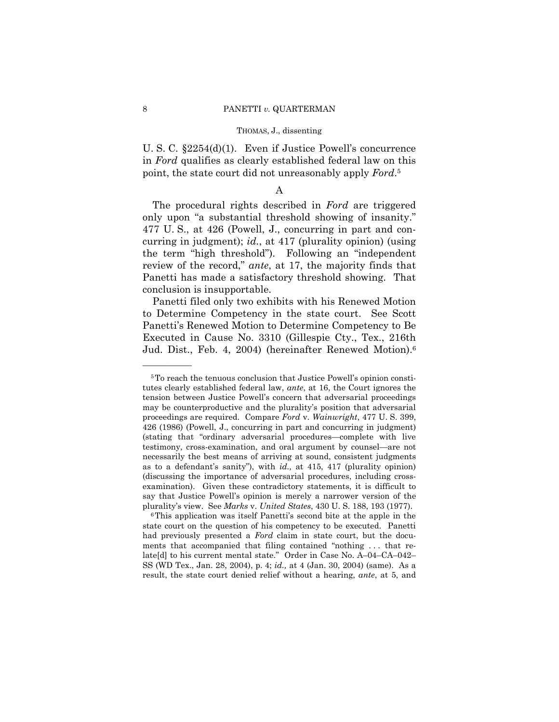U. S. C. §2254(d)(1). Even if Justice Powell's concurrence in *Ford* qualifies as clearly established federal law on this point, the state court did not unreasonably apply *Ford*.5

# A

The procedural rights described in *Ford* are triggered only upon "a substantial threshold showing of insanity." 477 U. S., at 426 (Powell, J., concurring in part and concurring in judgment); *id.*, at 417 (plurality opinion) (using the term "high threshold"). Following an "independent review of the record," *ante*, at 17, the majority finds that Panetti has made a satisfactory threshold showing. That conclusion is insupportable.

Panetti filed only two exhibits with his Renewed Motion to Determine Competency in the state court. See Scott Panetti's Renewed Motion to Determine Competency to Be Executed in Cause No. 3310 (Gillespie Cty., Tex., 216th Jud. Dist., Feb. 4, 2004) (hereinafter Renewed Motion).6

<sup>5</sup>To reach the tenuous conclusion that Justice Powell's opinion constitutes clearly established federal law, *ante*, at 16, the Court ignores the tension between Justice Powell's concern that adversarial proceedings may be counterproductive and the plurality's position that adversarial proceedings are required. Compare *Ford* v. *Wainwright*, 477 U. S. 399, 426 (1986) (Powell, J., concurring in part and concurring in judgment) (stating that "ordinary adversarial procedures—complete with live testimony, cross-examination, and oral argument by counsel—are not necessarily the best means of arriving at sound, consistent judgments as to a defendant's sanity"), with *id.,* at 415, 417 (plurality opinion) (discussing the importance of adversarial procedures, including crossexamination). Given these contradictory statements, it is difficult to say that Justice Powell's opinion is merely a narrower version of the plurality's view. See *Marks* v. *United States*, 430 U. S. 188, 193 (1977). 6This application was itself Panetti's second bite at the apple in the

state court on the question of his competency to be executed. Panetti had previously presented a *Ford* claim in state court, but the documents that accompanied that filing contained "nothing . . . that relate[d] to his current mental state." Order in Case No. A–04–CA–042– SS (WD Tex., Jan. 28, 2004), p. 4; *id.,* at 4 (Jan. 30, 2004) (same). As a result, the state court denied relief without a hearing, *ante*, at 5, and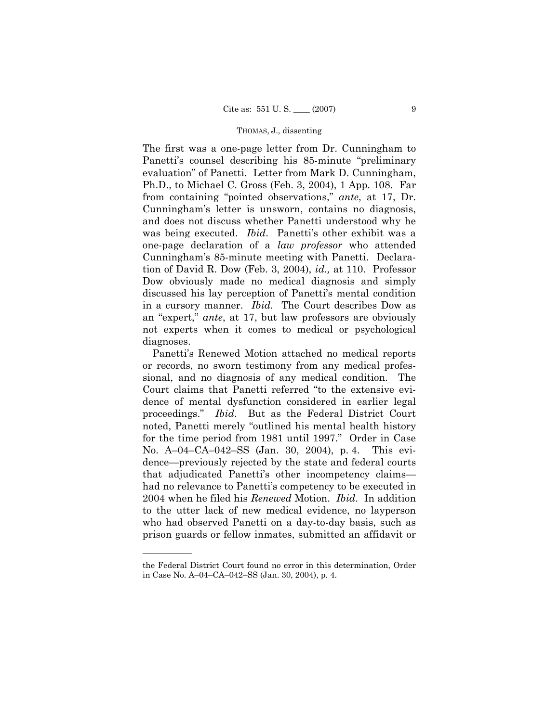The first was a one-page letter from Dr. Cunningham to Panetti's counsel describing his 85-minute "preliminary evaluation" of Panetti. Letter from Mark D. Cunningham, Ph.D., to Michael C. Gross (Feb. 3, 2004), 1 App. 108. Far from containing "pointed observations," *ante*, at 17, Dr. Cunningham's letter is unsworn, contains no diagnosis, and does not discuss whether Panetti understood why he was being executed. *Ibid*. Panetti's other exhibit was a one-page declaration of a *law professor* who attended Cunningham's 85-minute meeting with Panetti. Declaration of David R. Dow (Feb. 3, 2004), *id.,* at 110. Professor Dow obviously made no medical diagnosis and simply discussed his lay perception of Panetti's mental condition in a cursory manner. *Ibid.* The Court describes Dow as an "expert," *ante*, at 17, but law professors are obviously not experts when it comes to medical or psychological diagnoses.

Panetti's Renewed Motion attached no medical reports or records, no sworn testimony from any medical professional, and no diagnosis of any medical condition. The Court claims that Panetti referred "to the extensive evidence of mental dysfunction considered in earlier legal proceedings." *Ibid*. But as the Federal District Court noted, Panetti merely "outlined his mental health history for the time period from 1981 until 1997." Order in Case No. A–04–CA–042–SS (Jan. 30, 2004), p. 4. This evidence—previously rejected by the state and federal courts that adjudicated Panetti's other incompetency claims had no relevance to Panetti's competency to be executed in 2004 when he filed his *Renewed* Motion. *Ibid*. In addition to the utter lack of new medical evidence, no layperson who had observed Panetti on a day-to-day basis, such as prison guards or fellow inmates, submitted an affidavit or

the Federal District Court found no error in this determination, Order in Case No. A–04–CA–042–SS (Jan. 30, 2004), p. 4.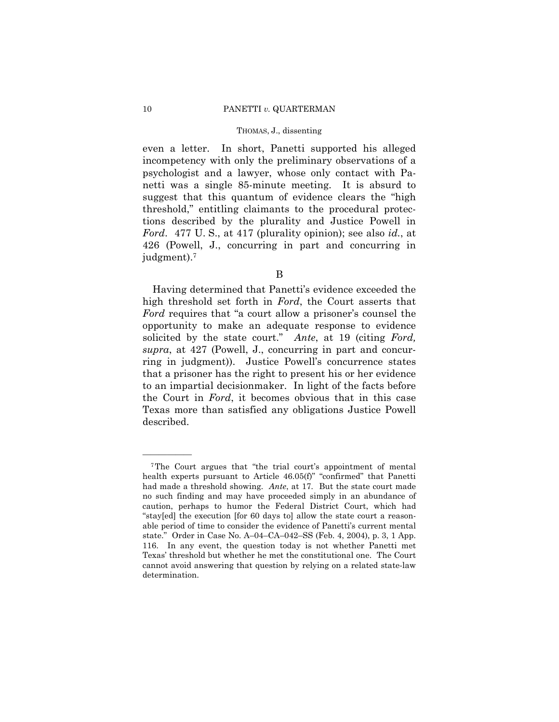even a letter. In short, Panetti supported his alleged incompetency with only the preliminary observations of a psychologist and a lawyer, whose only contact with Panetti was a single 85-minute meeting. It is absurd to suggest that this quantum of evidence clears the "high threshold," entitling claimants to the procedural protections described by the plurality and Justice Powell in *Ford*. 477 U. S., at 417 (plurality opinion); see also *id.*, at 426 (Powell, J., concurring in part and concurring in judgment).7

B

Having determined that Panetti's evidence exceeded the high threshold set forth in *Ford*, the Court asserts that *Ford* requires that "a court allow a prisoner's counsel the opportunity to make an adequate response to evidence solicited by the state court." *Ante*, at 19 (citing *Ford, supra*, at 427 (Powell, J., concurring in part and concurring in judgment)). Justice Powell's concurrence states that a prisoner has the right to present his or her evidence to an impartial decisionmaker. In light of the facts before the Court in *Ford*, it becomes obvious that in this case Texas more than satisfied any obligations Justice Powell described.

<sup>7</sup>The Court argues that "the trial court's appointment of mental health experts pursuant to Article 46.05(f)" "confirmed" that Panetti had made a threshold showing. *Ante*, at 17. But the state court made no such finding and may have proceeded simply in an abundance of caution, perhaps to humor the Federal District Court, which had "stay[ed] the execution [for 60 days to] allow the state court a reasonable period of time to consider the evidence of Panetti's current mental state." Order in Case No. A–04–CA–042–SS (Feb. 4, 2004), p. 3, 1 App. 116. In any event, the question today is not whether Panetti met Texas' threshold but whether he met the constitutional one. The Court cannot avoid answering that question by relying on a related state-law determination.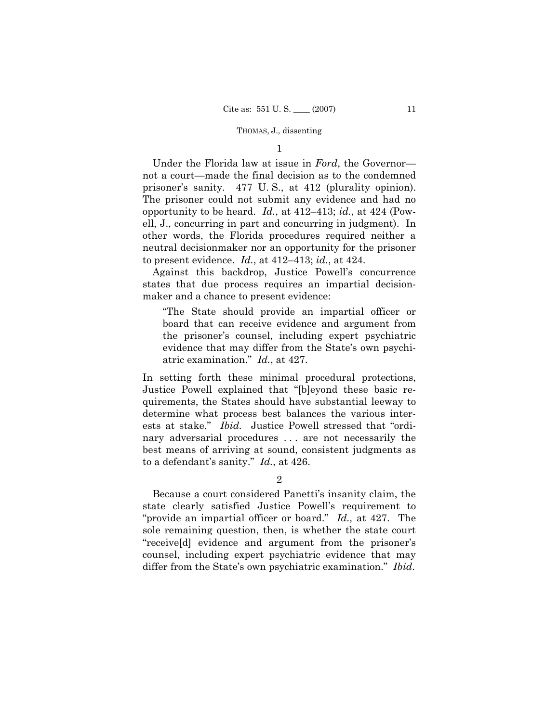1

Under the Florida law at issue in *Ford*, the Governor not a court—made the final decision as to the condemned prisoner's sanity. 477 U. S., at 412 (plurality opinion). The prisoner could not submit any evidence and had no opportunity to be heard. *Id.*, at 412–413; *id.*, at 424 (Powell, J., concurring in part and concurring in judgment). In other words, the Florida procedures required neither a neutral decisionmaker nor an opportunity for the prisoner to present evidence. *Id.*, at 412–413; *id.*, at 424.

Against this backdrop, Justice Powell's concurrence states that due process requires an impartial decisionmaker and a chance to present evidence:

"The State should provide an impartial officer or board that can receive evidence and argument from the prisoner's counsel, including expert psychiatric evidence that may differ from the State's own psychiatric examination." *Id.*, at 427.

In setting forth these minimal procedural protections, Justice Powell explained that "[b]eyond these basic requirements, the States should have substantial leeway to determine what process best balances the various interests at stake." *Ibid.* Justice Powell stressed that "ordinary adversarial procedures ... are not necessarily the best means of arriving at sound, consistent judgments as to a defendant's sanity." *Id.*, at 426.

# 2

Because a court considered Panetti's insanity claim, the state clearly satisfied Justice Powell's requirement to "provide an impartial officer or board." *Id.,* at 427. The sole remaining question, then, is whether the state court "receive[d] evidence and argument from the prisoner's counsel, including expert psychiatric evidence that may differ from the State's own psychiatric examination." *Ibid*.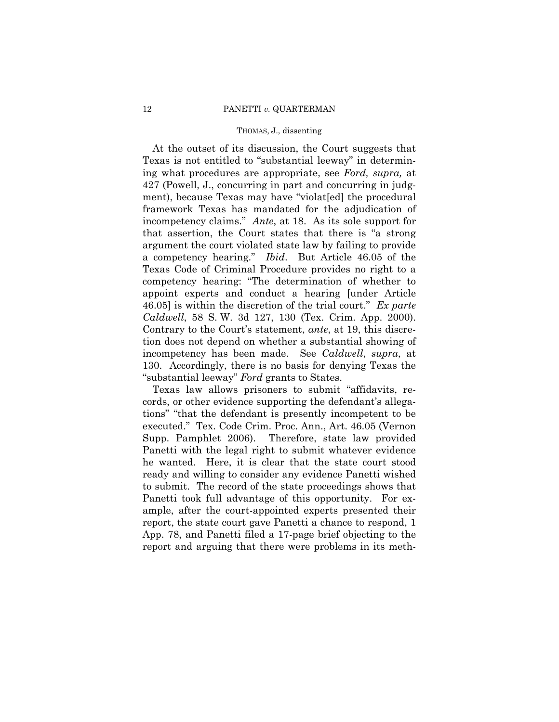At the outset of its discussion, the Court suggests that Texas is not entitled to "substantial leeway" in determining what procedures are appropriate, see *Ford, supra,* at 427 (Powell, J., concurring in part and concurring in judgment), because Texas may have "violat[ed] the procedural framework Texas has mandated for the adjudication of incompetency claims." *Ante*, at 18. As its sole support for that assertion, the Court states that there is "a strong argument the court violated state law by failing to provide a competency hearing." *Ibid*. But Article 46.05 of the Texas Code of Criminal Procedure provides no right to a competency hearing: "The determination of whether to appoint experts and conduct a hearing [under Article 46.05] is within the discretion of the trial court." *Ex parte Caldwell*, 58 S. W. 3d 127, 130 (Tex. Crim. App. 2000). Contrary to the Court's statement, *ante*, at 19, this discretion does not depend on whether a substantial showing of incompetency has been made. See *Caldwell*, *supra*, at 130. Accordingly, there is no basis for denying Texas the "substantial leeway" *Ford* grants to States.

Texas law allows prisoners to submit "affidavits, records, or other evidence supporting the defendant's allegations" "that the defendant is presently incompetent to be executed." Tex. Code Crim. Proc. Ann., Art. 46.05 (Vernon Supp. Pamphlet 2006). Therefore, state law provided Panetti with the legal right to submit whatever evidence he wanted. Here, it is clear that the state court stood ready and willing to consider any evidence Panetti wished to submit. The record of the state proceedings shows that Panetti took full advantage of this opportunity. For example, after the court-appointed experts presented their report, the state court gave Panetti a chance to respond, 1 App. 78, and Panetti filed a 17-page brief objecting to the report and arguing that there were problems in its meth-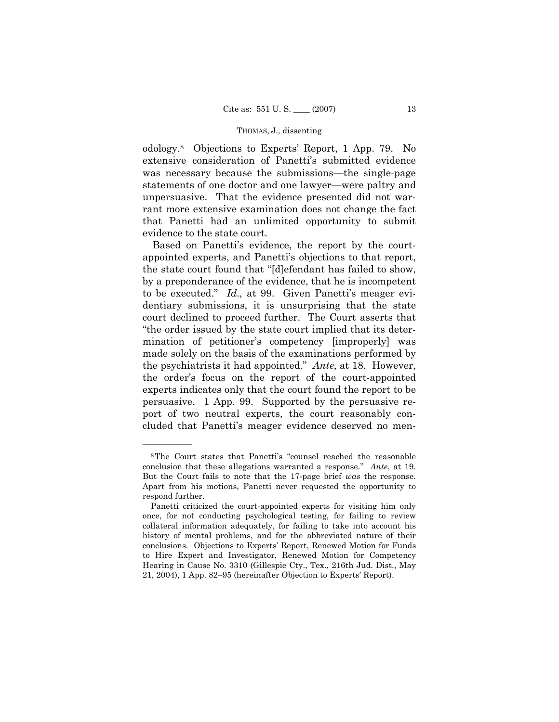odology.8 Objections to Experts' Report, 1 App. 79. No extensive consideration of Panetti's submitted evidence was necessary because the submissions—the single-page statements of one doctor and one lawyer—were paltry and unpersuasive. That the evidence presented did not warrant more extensive examination does not change the fact that Panetti had an unlimited opportunity to submit evidence to the state court.

Based on Panetti's evidence, the report by the courtappointed experts, and Panetti's objections to that report, the state court found that "[d]efendant has failed to show, by a preponderance of the evidence, that he is incompetent to be executed." *Id.,* at 99. Given Panetti's meager evidentiary submissions, it is unsurprising that the state court declined to proceed further. The Court asserts that "the order issued by the state court implied that its determination of petitioner's competency [improperly] was made solely on the basis of the examinations performed by the psychiatrists it had appointed." *Ante*, at 18. However, the order's focus on the report of the court-appointed experts indicates only that the court found the report to be persuasive. 1 App. 99. Supported by the persuasive report of two neutral experts, the court reasonably concluded that Panetti's meager evidence deserved no men-

<sup>8</sup>The Court states that Panetti's "counsel reached the reasonable conclusion that these allegations warranted a response." *Ante*, at 19. But the Court fails to note that the 17-page brief *was* the response. Apart from his motions, Panetti never requested the opportunity to respond further.

Panetti criticized the court-appointed experts for visiting him only once, for not conducting psychological testing, for failing to review collateral information adequately, for failing to take into account his history of mental problems, and for the abbreviated nature of their conclusions. Objections to Experts' Report, Renewed Motion for Funds to Hire Expert and Investigator, Renewed Motion for Competency Hearing in Cause No. 3310 (Gillespie Cty., Tex., 216th Jud. Dist., May 21, 2004), 1 App. 82–95 (hereinafter Objection to Experts' Report).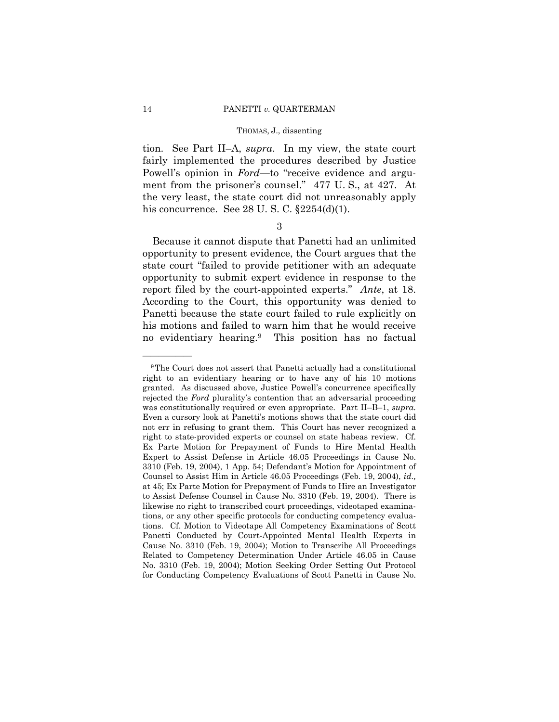tion. See Part II–A, *supra*. In my view, the state court fairly implemented the procedures described by Justice Powell's opinion in *Ford*—to "receive evidence and argument from the prisoner's counsel." 477 U. S., at 427. At the very least, the state court did not unreasonably apply his concurrence. See  $28 \text{ U}$ . S. C.  $\S 2254(d)(1)$ .

3

Because it cannot dispute that Panetti had an unlimited opportunity to present evidence, the Court argues that the state court "failed to provide petitioner with an adequate opportunity to submit expert evidence in response to the report filed by the court-appointed experts." *Ante*, at 18. According to the Court, this opportunity was denied to Panetti because the state court failed to rule explicitly on his motions and failed to warn him that he would receive no evidentiary hearing.9 This position has no factual

<sup>9</sup>The Court does not assert that Panetti actually had a constitutional right to an evidentiary hearing or to have any of his 10 motions granted. As discussed above, Justice Powell's concurrence specifically rejected the *Ford* plurality's contention that an adversarial proceeding was constitutionally required or even appropriate. Part II–B–1, *supra.* Even a cursory look at Panetti's motions shows that the state court did not err in refusing to grant them. This Court has never recognized a right to state-provided experts or counsel on state habeas review. Cf. Ex Parte Motion for Prepayment of Funds to Hire Mental Health Expert to Assist Defense in Article 46.05 Proceedings in Cause No. 3310 (Feb. 19, 2004), 1 App. 54; Defendant's Motion for Appointment of Counsel to Assist Him in Article 46.05 Proceedings (Feb. 19, 2004), *id.,*  at 45; Ex Parte Motion for Prepayment of Funds to Hire an Investigator to Assist Defense Counsel in Cause No. 3310 (Feb. 19, 2004). There is likewise no right to transcribed court proceedings, videotaped examinations, or any other specific protocols for conducting competency evaluations. Cf. Motion to Videotape All Competency Examinations of Scott Panetti Conducted by Court-Appointed Mental Health Experts in Cause No. 3310 (Feb. 19, 2004); Motion to Transcribe All Proceedings Related to Competency Determination Under Article 46.05 in Cause No. 3310 (Feb. 19, 2004); Motion Seeking Order Setting Out Protocol for Conducting Competency Evaluations of Scott Panetti in Cause No.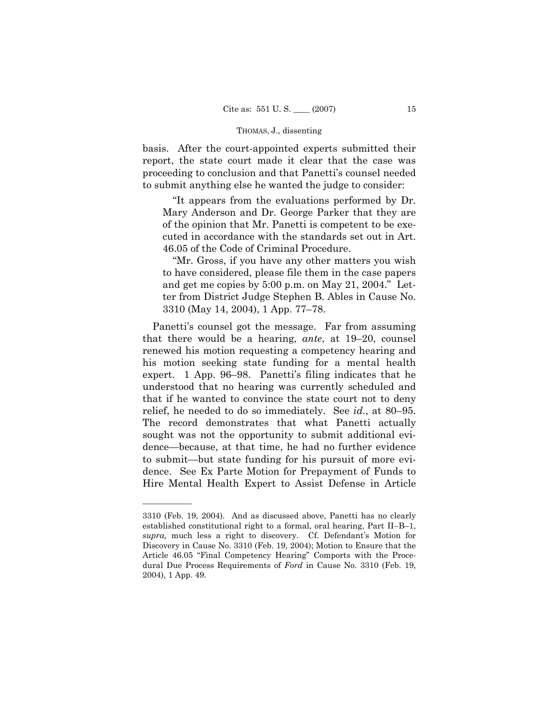basis. After the court-appointed experts submitted their report, the state court made it clear that the case was proceeding to conclusion and that Panetti's counsel needed to submit anything else he wanted the judge to consider:

"It appears from the evaluations performed by Dr. Mary Anderson and Dr. George Parker that they are of the opinion that Mr. Panetti is competent to be executed in accordance with the standards set out in Art. 46.05 of the Code of Criminal Procedure.

"Mr. Gross, if you have any other matters you wish to have considered, please file them in the case papers and get me copies by 5:00 p.m. on May 21, 2004." Letter from District Judge Stephen B. Ables in Cause No. 3310 (May 14, 2004), 1 App. 77–78.

Panetti's counsel got the message. Far from assuming that there would be a hearing, *ante*, at 19–20, counsel renewed his motion requesting a competency hearing and his motion seeking state funding for a mental health expert. 1 App. 96–98. Panetti's filing indicates that he understood that no hearing was currently scheduled and that if he wanted to convince the state court not to deny relief, he needed to do so immediately. See *id.*, at 80–95. The record demonstrates that what Panetti actually sought was not the opportunity to submit additional evidence—because, at that time, he had no further evidence to submit—but state funding for his pursuit of more evidence. See Ex Parte Motion for Prepayment of Funds to Hire Mental Health Expert to Assist Defense in Article

<sup>3310 (</sup>Feb. 19, 2004). And as discussed above, Panetti has no clearly established constitutional right to a formal, oral hearing, Part II–B–1, *supra,* much less a right to discovery. Cf. Defendant's Motion for Discovery in Cause No. 3310 (Feb. 19, 2004); Motion to Ensure that the Article 46.05 "Final Competency Hearing" Comports with the Procedural Due Process Requirements of *Ford* in Cause No. 3310 (Feb. 19, 2004), 1 App. 49.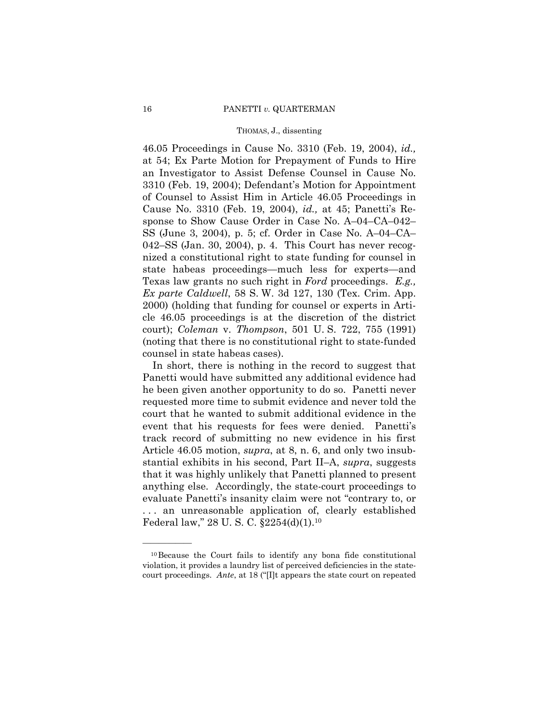46.05 Proceedings in Cause No. 3310 (Feb. 19, 2004), *id.,*  at 54; Ex Parte Motion for Prepayment of Funds to Hire an Investigator to Assist Defense Counsel in Cause No. 3310 (Feb. 19, 2004); Defendant's Motion for Appointment of Counsel to Assist Him in Article 46.05 Proceedings in Cause No. 3310 (Feb. 19, 2004), *id.,* at 45; Panetti's Response to Show Cause Order in Case No. A–04–CA–042– SS (June 3, 2004), p. 5; cf. Order in Case No. A–04–CA– 042–SS (Jan. 30, 2004), p. 4. This Court has never recognized a constitutional right to state funding for counsel in state habeas proceedings—much less for experts—and Texas law grants no such right in *Ford* proceedings. *E.g., Ex parte Caldwell*, 58 S. W. 3d 127, 130 (Tex. Crim. App. 2000) (holding that funding for counsel or experts in Article 46.05 proceedings is at the discretion of the district court); *Coleman* v. *Thompson*, 501 U. S. 722, 755 (1991) (noting that there is no constitutional right to state-funded counsel in state habeas cases).

In short, there is nothing in the record to suggest that Panetti would have submitted any additional evidence had he been given another opportunity to do so. Panetti never requested more time to submit evidence and never told the court that he wanted to submit additional evidence in the event that his requests for fees were denied. Panetti's track record of submitting no new evidence in his first Article 46.05 motion, *supra*, at 8, n. 6, and only two insubstantial exhibits in his second, Part II–A, *supra*, suggests that it was highly unlikely that Panetti planned to present anything else. Accordingly, the state-court proceedings to evaluate Panetti's insanity claim were not "contrary to, or . . . an unreasonable application of, clearly established Federal law," 28 U. S. C. §2254(d)(1).10

<sup>10</sup>Because the Court fails to identify any bona fide constitutional violation, it provides a laundry list of perceived deficiencies in the statecourt proceedings. *Ante*, at 18 ("[I]t appears the state court on repeated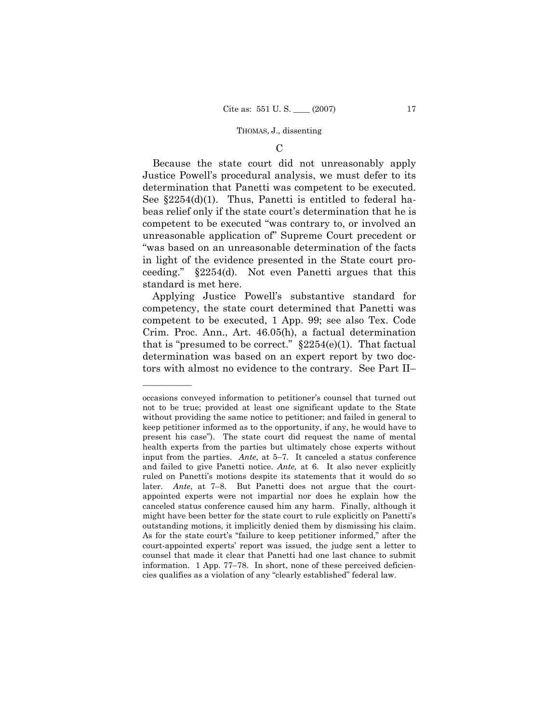## $\mathcal{C}$

Because the state court did not unreasonably apply Justice Powell's procedural analysis, we must defer to its determination that Panetti was competent to be executed. See  $\S2254(d)(1)$ . Thus, Panetti is entitled to federal habeas relief only if the state court's determination that he is competent to be executed "was contrary to, or involved an unreasonable application of" Supreme Court precedent or "was based on an unreasonable determination of the facts in light of the evidence presented in the State court proceeding." §2254(d). Not even Panetti argues that this standard is met here.

Applying Justice Powell's substantive standard for competency, the state court determined that Panetti was competent to be executed, 1 App. 99; see also Tex. Code Crim. Proc. Ann., Art. 46.05(h), a factual determination that is "presumed to be correct."  $\S 2254(e)(1)$ . That factual determination was based on an expert report by two doctors with almost no evidence to the contrary. See Part II–

occasions conveyed information to petitioner's counsel that turned out not to be true; provided at least one significant update to the State without providing the same notice to petitioner; and failed in general to keep petitioner informed as to the opportunity, if any, he would have to present his case"). The state court did request the name of mental health experts from the parties but ultimately chose experts without input from the parties. *Ante*, at 5–7. It canceled a status conference and failed to give Panetti notice. *Ante,* at 6. It also never explicitly ruled on Panetti's motions despite its statements that it would do so later. *Ante*, at 7–8. But Panetti does not argue that the courtappointed experts were not impartial nor does he explain how the canceled status conference caused him any harm. Finally, although it might have been better for the state court to rule explicitly on Panetti's outstanding motions, it implicitly denied them by dismissing his claim. As for the state court's "failure to keep petitioner informed," after the court-appointed experts' report was issued, the judge sent a letter to counsel that made it clear that Panetti had one last chance to submit information. 1 App. 77–78. In short, none of these perceived deficiencies qualifies as a violation of any "clearly established" federal law.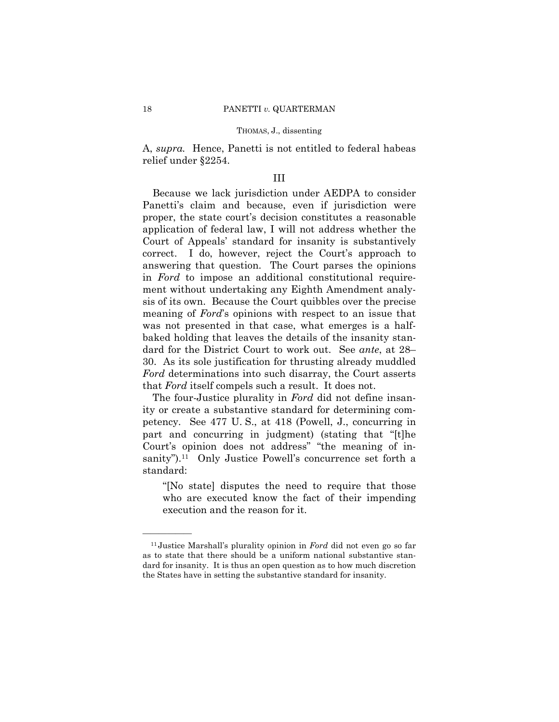A, *supra.* Hence, Panetti is not entitled to federal habeas relief under §2254.

### III

Because we lack jurisdiction under AEDPA to consider Panetti's claim and because, even if jurisdiction were proper, the state court's decision constitutes a reasonable application of federal law, I will not address whether the Court of Appeals' standard for insanity is substantively correct. I do, however, reject the Court's approach to answering that question. The Court parses the opinions in *Ford* to impose an additional constitutional requirement without undertaking any Eighth Amendment analysis of its own. Because the Court quibbles over the precise meaning of *Ford*'s opinions with respect to an issue that was not presented in that case, what emerges is a halfbaked holding that leaves the details of the insanity standard for the District Court to work out. See *ante*, at 28– 30. As its sole justification for thrusting already muddled *Ford* determinations into such disarray, the Court asserts that *Ford* itself compels such a result. It does not.

The four-Justice plurality in *Ford* did not define insanity or create a substantive standard for determining competency. See 477 U. S., at 418 (Powell, J., concurring in part and concurring in judgment) (stating that "[t]he Court's opinion does not address" "the meaning of insanity").<sup>11</sup> Only Justice Powell's concurrence set forth a standard:

"[No state] disputes the need to require that those who are executed know the fact of their impending execution and the reason for it.

<sup>11</sup> Justice Marshall's plurality opinion in *Ford* did not even go so far as to state that there should be a uniform national substantive standard for insanity. It is thus an open question as to how much discretion the States have in setting the substantive standard for insanity.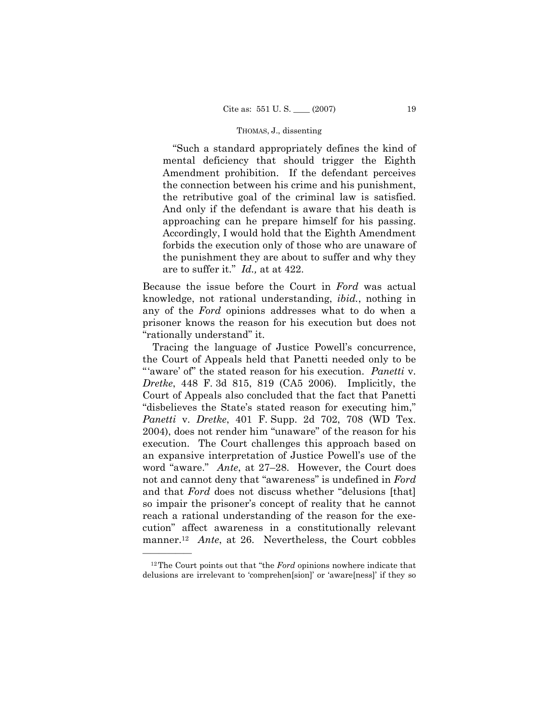"Such a standard appropriately defines the kind of mental deficiency that should trigger the Eighth Amendment prohibition. If the defendant perceives the connection between his crime and his punishment, the retributive goal of the criminal law is satisfied. And only if the defendant is aware that his death is approaching can he prepare himself for his passing. Accordingly, I would hold that the Eighth Amendment forbids the execution only of those who are unaware of the punishment they are about to suffer and why they are to suffer it." *Id.,* at at 422.

Because the issue before the Court in *Ford* was actual knowledge, not rational understanding, *ibid.*, nothing in any of the *Ford* opinions addresses what to do when a prisoner knows the reason for his execution but does not "rationally understand" it.

Tracing the language of Justice Powell's concurrence, the Court of Appeals held that Panetti needed only to be "'aware' of" the stated reason for his execution. *Panetti* v. *Dretke*, 448 F. 3d 815, 819 (CA5 2006). Implicitly, the Court of Appeals also concluded that the fact that Panetti "disbelieves the State's stated reason for executing him," *Panetti* v. *Dretke*, 401 F. Supp. 2d 702, 708 (WD Tex. 2004), does not render him "unaware" of the reason for his execution. The Court challenges this approach based on an expansive interpretation of Justice Powell's use of the word "aware." *Ante*, at 27–28. However, the Court does not and cannot deny that "awareness" is undefined in *Ford*  and that *Ford* does not discuss whether "delusions [that] so impair the prisoner's concept of reality that he cannot reach a rational understanding of the reason for the execution" affect awareness in a constitutionally relevant manner.12 *Ante*, at 26. Nevertheless, the Court cobbles

<sup>&</sup>lt;sup>12</sup>The Court points out that "the *Ford* opinions nowhere indicate that delusions are irrelevant to 'comprehen[sion]' or 'aware[ness]' if they so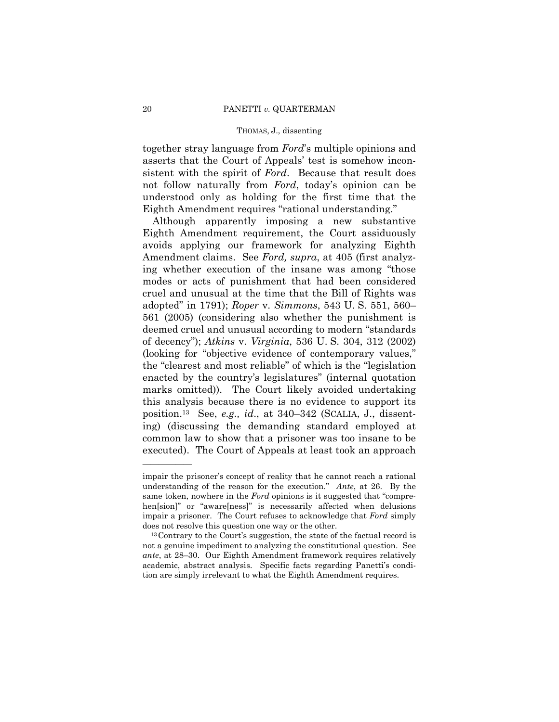together stray language from *Ford*'s multiple opinions and asserts that the Court of Appeals' test is somehow inconsistent with the spirit of *Ford*. Because that result does not follow naturally from *Ford*, today's opinion can be understood only as holding for the first time that the Eighth Amendment requires "rational understanding."

Although apparently imposing a new substantive Eighth Amendment requirement, the Court assiduously avoids applying our framework for analyzing Eighth Amendment claims. See *Ford, supra*, at 405 (first analyzing whether execution of the insane was among "those modes or acts of punishment that had been considered cruel and unusual at the time that the Bill of Rights was adopted" in 1791); *Roper* v. *Simmons*, 543 U. S. 551, 560– 561 (2005) (considering also whether the punishment is deemed cruel and unusual according to modern "standards of decency"); *Atkins* v. *Virginia*, 536 U. S. 304, 312 (2002) (looking for "objective evidence of contemporary values," the "clearest and most reliable" of which is the "legislation enacted by the country's legislatures" (internal quotation marks omitted)). The Court likely avoided undertaking this analysis because there is no evidence to support its position.13 See, *e.g., id*., at 340–342 (SCALIA, J., dissenting) (discussing the demanding standard employed at common law to show that a prisoner was too insane to be executed). The Court of Appeals at least took an approach

impair the prisoner's concept of reality that he cannot reach a rational understanding of the reason for the execution." *Ante*, at 26. By the same token, nowhere in the *Ford* opinions is it suggested that "comprehen[sion]" or "aware[ness]" is necessarily affected when delusions impair a prisoner. The Court refuses to acknowledge that *Ford* simply does not resolve this question one way or the other.<br><sup>13</sup>Contrary to the Court's suggestion, the state of the factual record is

not a genuine impediment to analyzing the constitutional question. See *ante*, at 28–30. Our Eighth Amendment framework requires relatively academic, abstract analysis. Specific facts regarding Panetti's condition are simply irrelevant to what the Eighth Amendment requires.